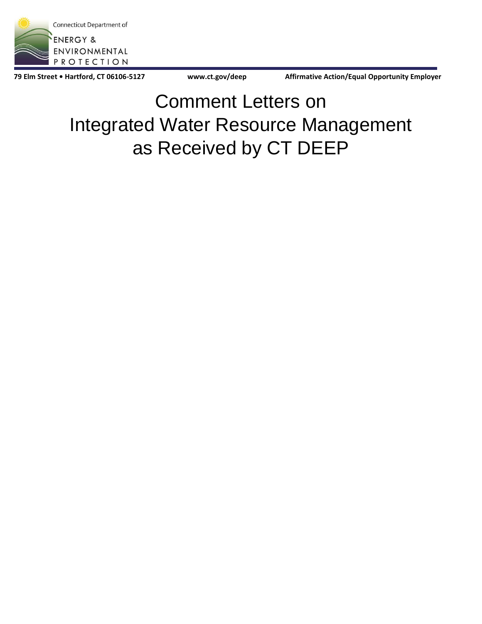

79 Elm Street • Hartford, CT 06106-5127 **www.ct.gov/deep https://www.ct.gov/deep** Affirmative Action/Equal Opportunity Employer

Comment Letters on Integrated Water Resource Management as Received by CT DEEP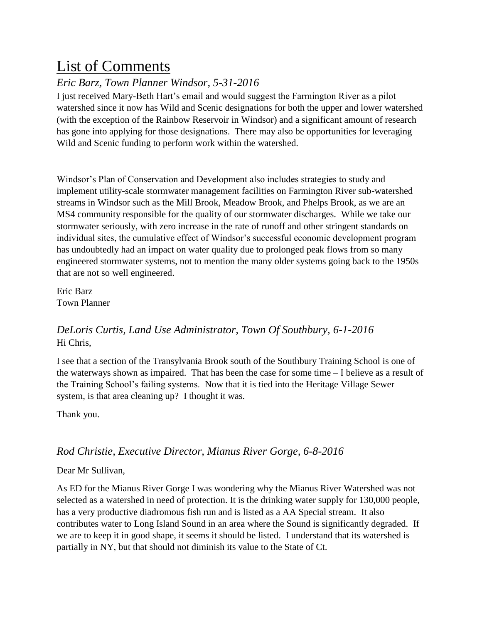# List of Comments

## *Eric Barz, Town Planner Windsor, 5-31-2016*

I just received Mary-Beth Hart's email and would suggest the Farmington River as a pilot watershed since it now has Wild and Scenic designations for both the upper and lower watershed (with the exception of the Rainbow Reservoir in Windsor) and a significant amount of research has gone into applying for those designations. There may also be opportunities for leveraging Wild and Scenic funding to perform work within the watershed.

Windsor's Plan of Conservation and Development also includes strategies to study and implement utility-scale stormwater management facilities on Farmington River sub-watershed streams in Windsor such as the Mill Brook, Meadow Brook, and Phelps Brook, as we are an MS4 community responsible for the quality of our stormwater discharges. While we take our stormwater seriously, with zero increase in the rate of runoff and other stringent standards on individual sites, the cumulative effect of Windsor's successful economic development program has undoubtedly had an impact on water quality due to prolonged peak flows from so many engineered stormwater systems, not to mention the many older systems going back to the 1950s that are not so well engineered.

Eric Barz Town Planner

### *DeLoris Curtis, Land Use Administrator, Town Of Southbury, 6-1-2016* Hi Chris,

I see that a section of the Transylvania Brook south of the Southbury Training School is one of the waterways shown as impaired. That has been the case for some time – I believe as a result of the Training School's failing systems. Now that it is tied into the Heritage Village Sewer system, is that area cleaning up? I thought it was.

Thank you.

### *Rod Christie, Executive Director, Mianus River Gorge, 6-8-2016*

### Dear Mr Sullivan,

As ED for the Mianus River Gorge I was wondering why the Mianus River Watershed was not selected as a watershed in need of protection. It is the drinking water supply for 130,000 people, has a very productive diadromous fish run and is listed as a AA Special stream. It also contributes water to Long Island Sound in an area where the Sound is significantly degraded. If we are to keep it in good shape, it seems it should be listed. I understand that its watershed is partially in NY, but that should not diminish its value to the State of Ct.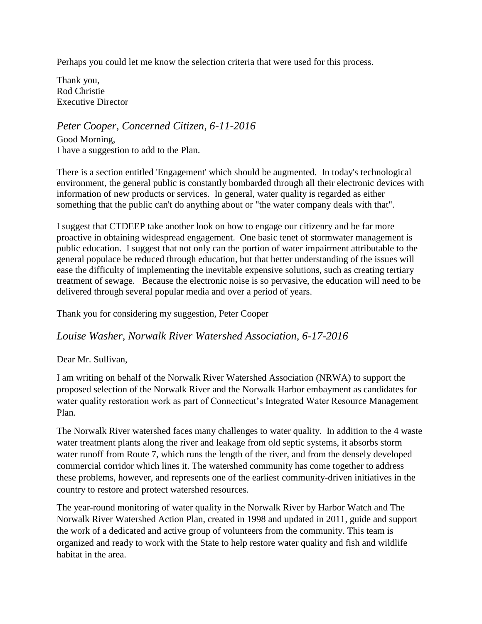Perhaps you could let me know the selection criteria that were used for this process.

Thank you, Rod Christie Executive Director

*Peter Cooper, Concerned Citizen, 6-11-2016* Good Morning, I have a suggestion to add to the Plan.

There is a section entitled 'Engagement' which should be augmented. In today's technological environment, the general public is constantly bombarded through all their electronic devices with information of new products or services. In general, water quality is regarded as either something that the public can't do anything about or "the water company deals with that".

I suggest that CTDEEP take another look on how to engage our citizenry and be far more proactive in obtaining widespread engagement. One basic tenet of stormwater management is public education. I suggest that not only can the portion of water impairment attributable to the general populace be reduced through education, but that better understanding of the issues will ease the difficulty of implementing the inevitable expensive solutions, such as creating tertiary treatment of sewage. Because the electronic noise is so pervasive, the education will need to be delivered through several popular media and over a period of years.

Thank you for considering my suggestion, Peter Cooper

*Louise Washer, Norwalk River Watershed Association, 6-17-2016*

Dear Mr. Sullivan,

I am writing on behalf of the Norwalk River Watershed Association (NRWA) to support the proposed selection of the Norwalk River and the Norwalk Harbor embayment as candidates for water quality restoration work as part of Connecticut's Integrated Water Resource Management Plan.

The Norwalk River watershed faces many challenges to water quality. In addition to the 4 waste water treatment plants along the river and leakage from old septic systems, it absorbs storm water runoff from Route 7, which runs the length of the river, and from the densely developed commercial corridor which lines it. The watershed community has come together to address these problems, however, and represents one of the earliest community-driven initiatives in the country to restore and protect watershed resources.

The year-round monitoring of water quality in the Norwalk River by Harbor Watch and The Norwalk River Watershed Action Plan, created in 1998 and updated in 2011, guide and support the work of a dedicated and active group of volunteers from the community. This team is organized and ready to work with the State to help restore water quality and fish and wildlife habitat in the area.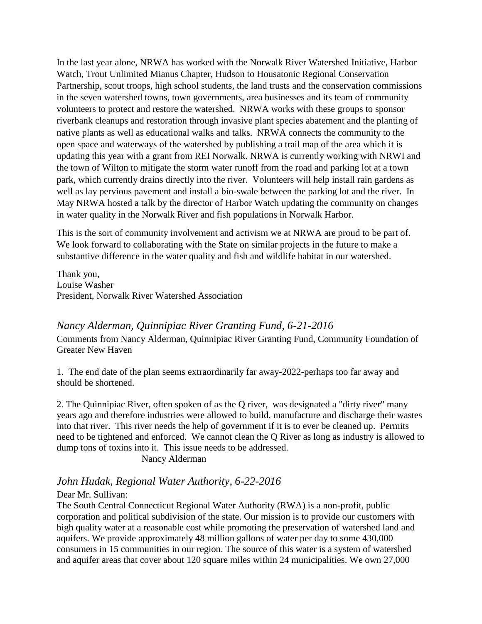In the last year alone, NRWA has worked with the Norwalk River Watershed Initiative, Harbor Watch, Trout Unlimited Mianus Chapter, Hudson to Housatonic Regional Conservation Partnership, scout troops, high school students, the land trusts and the conservation commissions in the seven watershed towns, town governments, area businesses and its team of community volunteers to protect and restore the watershed. NRWA works with these groups to sponsor riverbank cleanups and restoration through invasive plant species abatement and the planting of native plants as well as educational walks and talks. NRWA connects the community to the open space and waterways of the watershed by publishing a trail map of the area which it is updating this year with a grant from REI Norwalk. NRWA is currently working with NRWI and the town of Wilton to mitigate the storm water runoff from the road and parking lot at a town park, which currently drains directly into the river. Volunteers will help install rain gardens as well as lay pervious pavement and install a bio-swale between the parking lot and the river. In May NRWA hosted a talk by the director of Harbor Watch updating the community on changes in water quality in the Norwalk River and fish populations in Norwalk Harbor.

This is the sort of community involvement and activism we at NRWA are proud to be part of. We look forward to collaborating with the State on similar projects in the future to make a substantive difference in the water quality and fish and wildlife habitat in our watershed.

Thank you, Louise Washer President, Norwalk River Watershed Association

*Nancy Alderman, Quinnipiac River Granting Fund, 6-21-2016* Comments from Nancy Alderman, Quinnipiac River Granting Fund, Community Foundation of Greater New Haven

1. The end date of the plan seems extraordinarily far away-2022-perhaps too far away and should be shortened.

2. The Quinnipiac River, often spoken of as the Q river, was designated a "dirty river" many years ago and therefore industries were allowed to build, manufacture and discharge their wastes into that river. This river needs the help of government if it is to ever be cleaned up. Permits need to be tightened and enforced. We cannot clean the Q River as long as industry is allowed to dump tons of toxins into it. This issue needs to be addressed.

Nancy Alderman

### *John Hudak, Regional Water Authority, 6-22-2016*

#### Dear Mr. Sullivan:

The South Central Connecticut Regional Water Authority (RWA) is a non-profit, public corporation and political subdivision of the state. Our mission is to provide our customers with high quality water at a reasonable cost while promoting the preservation of watershed land and aquifers. We provide approximately 48 million gallons of water per day to some 430,000 consumers in 15 communities in our region. The source of this water is a system of watershed and aquifer areas that cover about 120 square miles within 24 municipalities. We own 27,000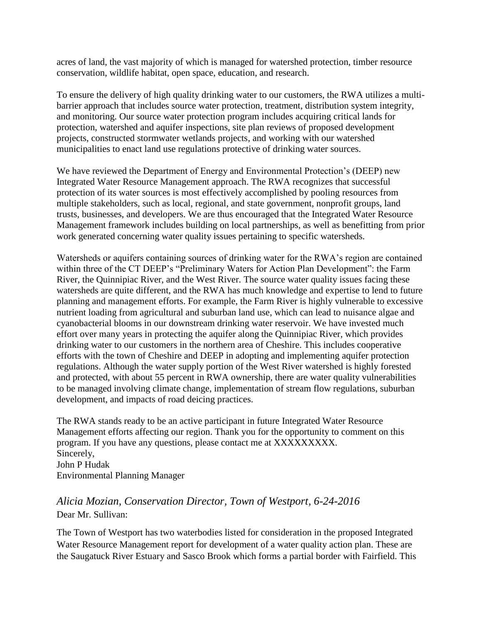acres of land, the vast majority of which is managed for watershed protection, timber resource conservation, wildlife habitat, open space, education, and research.

To ensure the delivery of high quality drinking water to our customers, the RWA utilizes a multibarrier approach that includes source water protection, treatment, distribution system integrity, and monitoring. Our source water protection program includes acquiring critical lands for protection, watershed and aquifer inspections, site plan reviews of proposed development projects, constructed stormwater wetlands projects, and working with our watershed municipalities to enact land use regulations protective of drinking water sources.

We have reviewed the Department of Energy and Environmental Protection's (DEEP) new Integrated Water Resource Management approach. The RWA recognizes that successful protection of its water sources is most effectively accomplished by pooling resources from multiple stakeholders, such as local, regional, and state government, nonprofit groups, land trusts, businesses, and developers. We are thus encouraged that the Integrated Water Resource Management framework includes building on local partnerships, as well as benefitting from prior work generated concerning water quality issues pertaining to specific watersheds.

Watersheds or aquifers containing sources of drinking water for the RWA's region are contained within three of the CT DEEP's "Preliminary Waters for Action Plan Development": the Farm River, the Quinnipiac River, and the West River. The source water quality issues facing these watersheds are quite different, and the RWA has much knowledge and expertise to lend to future planning and management efforts. For example, the Farm River is highly vulnerable to excessive nutrient loading from agricultural and suburban land use, which can lead to nuisance algae and cyanobacterial blooms in our downstream drinking water reservoir. We have invested much effort over many years in protecting the aquifer along the Quinnipiac River, which provides drinking water to our customers in the northern area of Cheshire. This includes cooperative efforts with the town of Cheshire and DEEP in adopting and implementing aquifer protection regulations. Although the water supply portion of the West River watershed is highly forested and protected, with about 55 percent in RWA ownership, there are water quality vulnerabilities to be managed involving climate change, implementation of stream flow regulations, suburban development, and impacts of road deicing practices.

The RWA stands ready to be an active participant in future Integrated Water Resource Management efforts affecting our region. Thank you for the opportunity to comment on this program. If you have any questions, please contact me at XXXXXXXXX. Sincerely, John P Hudak Environmental Planning Manager

### *Alicia Mozian, Conservation Director, Town of Westport, 6-24-2016* Dear Mr. Sullivan:

The Town of Westport has two waterbodies listed for consideration in the proposed Integrated Water Resource Management report for development of a water quality action plan. These are the Saugatuck River Estuary and Sasco Brook which forms a partial border with Fairfield. This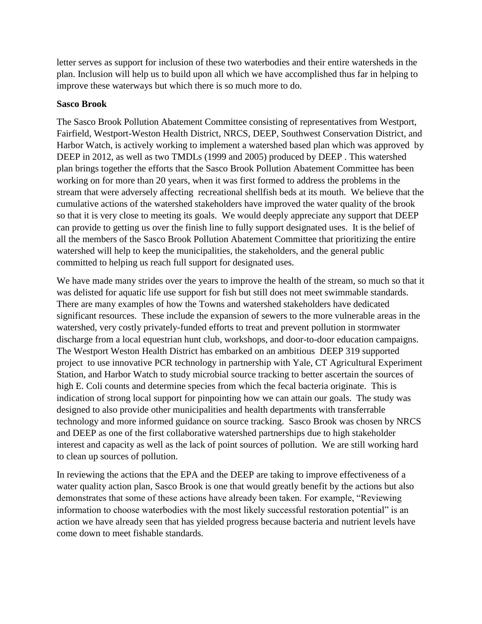letter serves as support for inclusion of these two waterbodies and their entire watersheds in the plan. Inclusion will help us to build upon all which we have accomplished thus far in helping to improve these waterways but which there is so much more to do.

#### **Sasco Brook**

The Sasco Brook Pollution Abatement Committee consisting of representatives from Westport, Fairfield, Westport-Weston Health District, NRCS, DEEP, Southwest Conservation District, and Harbor Watch, is actively working to implement a watershed based plan which was approved by DEEP in 2012, as well as two TMDLs (1999 and 2005) produced by DEEP . This watershed plan brings together the efforts that the Sasco Brook Pollution Abatement Committee has been working on for more than 20 years, when it was first formed to address the problems in the stream that were adversely affecting recreational shellfish beds at its mouth. We believe that the cumulative actions of the watershed stakeholders have improved the water quality of the brook so that it is very close to meeting its goals. We would deeply appreciate any support that DEEP can provide to getting us over the finish line to fully support designated uses. It is the belief of all the members of the Sasco Brook Pollution Abatement Committee that prioritizing the entire watershed will help to keep the municipalities, the stakeholders, and the general public committed to helping us reach full support for designated uses.

We have made many strides over the years to improve the health of the stream, so much so that it was delisted for aquatic life use support for fish but still does not meet swimmable standards. There are many examples of how the Towns and watershed stakeholders have dedicated significant resources. These include the expansion of sewers to the more vulnerable areas in the watershed, very costly privately-funded efforts to treat and prevent pollution in stormwater discharge from a local equestrian hunt club, workshops, and door-to-door education campaigns. The Westport Weston Health District has embarked on an ambitious DEEP 319 supported project to use innovative PCR technology in partnership with Yale, CT Agricultural Experiment Station, and Harbor Watch to study microbial source tracking to better ascertain the sources of high E. Coli counts and determine species from which the fecal bacteria originate. This is indication of strong local support for pinpointing how we can attain our goals. The study was designed to also provide other municipalities and health departments with transferrable technology and more informed guidance on source tracking. Sasco Brook was chosen by NRCS and DEEP as one of the first collaborative watershed partnerships due to high stakeholder interest and capacity as well as the lack of point sources of pollution. We are still working hard to clean up sources of pollution.

In reviewing the actions that the EPA and the DEEP are taking to improve effectiveness of a water quality action plan, Sasco Brook is one that would greatly benefit by the actions but also demonstrates that some of these actions have already been taken. For example, "Reviewing information to choose waterbodies with the most likely successful restoration potential" is an action we have already seen that has yielded progress because bacteria and nutrient levels have come down to meet fishable standards.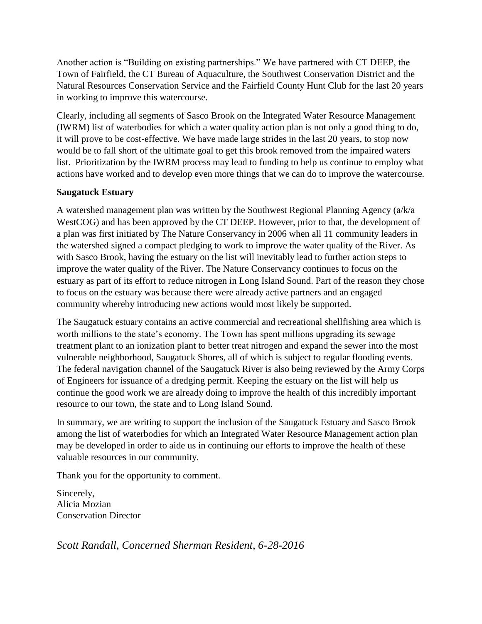Another action is "Building on existing partnerships." We have partnered with CT DEEP, the Town of Fairfield, the CT Bureau of Aquaculture, the Southwest Conservation District and the Natural Resources Conservation Service and the Fairfield County Hunt Club for the last 20 years in working to improve this watercourse.

Clearly, including all segments of Sasco Brook on the Integrated Water Resource Management (IWRM) list of waterbodies for which a water quality action plan is not only a good thing to do, it will prove to be cost-effective. We have made large strides in the last 20 years, to stop now would be to fall short of the ultimate goal to get this brook removed from the impaired waters list. Prioritization by the IWRM process may lead to funding to help us continue to employ what actions have worked and to develop even more things that we can do to improve the watercourse.

### **Saugatuck Estuary**

A watershed management plan was written by the Southwest Regional Planning Agency (a/k/a WestCOG) and has been approved by the CT DEEP. However, prior to that, the development of a plan was first initiated by The Nature Conservancy in 2006 when all 11 community leaders in the watershed signed a compact pledging to work to improve the water quality of the River. As with Sasco Brook, having the estuary on the list will inevitably lead to further action steps to improve the water quality of the River. The Nature Conservancy continues to focus on the estuary as part of its effort to reduce nitrogen in Long Island Sound. Part of the reason they chose to focus on the estuary was because there were already active partners and an engaged community whereby introducing new actions would most likely be supported.

The Saugatuck estuary contains an active commercial and recreational shellfishing area which is worth millions to the state's economy. The Town has spent millions upgrading its sewage treatment plant to an ionization plant to better treat nitrogen and expand the sewer into the most vulnerable neighborhood, Saugatuck Shores, all of which is subject to regular flooding events. The federal navigation channel of the Saugatuck River is also being reviewed by the Army Corps of Engineers for issuance of a dredging permit. Keeping the estuary on the list will help us continue the good work we are already doing to improve the health of this incredibly important resource to our town, the state and to Long Island Sound.

In summary, we are writing to support the inclusion of the Saugatuck Estuary and Sasco Brook among the list of waterbodies for which an Integrated Water Resource Management action plan may be developed in order to aide us in continuing our efforts to improve the health of these valuable resources in our community.

Thank you for the opportunity to comment.

Sincerely, Alicia Mozian Conservation Director

*Scott Randall, Concerned Sherman Resident, 6-28-2016*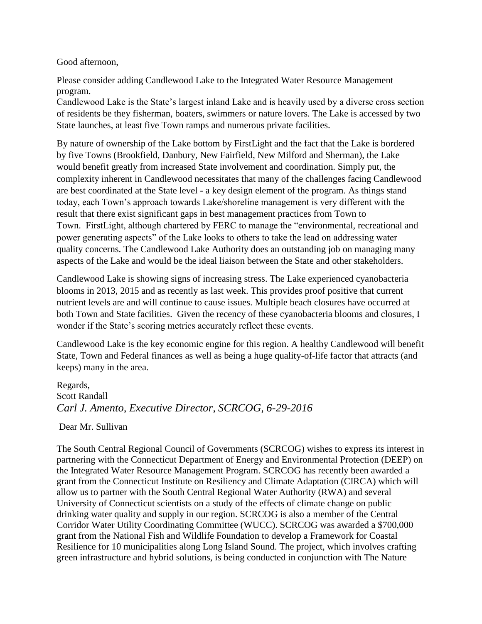Good afternoon,

Please consider adding Candlewood Lake to the Integrated Water Resource Management program.

Candlewood Lake is the State's largest inland Lake and is heavily used by a diverse cross section of residents be they fisherman, boaters, swimmers or nature lovers. The Lake is accessed by two State launches, at least five Town ramps and numerous private facilities.

By nature of ownership of the Lake bottom by FirstLight and the fact that the Lake is bordered by five Towns (Brookfield, Danbury, New Fairfield, New Milford and Sherman), the Lake would benefit greatly from increased State involvement and coordination. Simply put, the complexity inherent in Candlewood necessitates that many of the challenges facing Candlewood are best coordinated at the State level - a key design element of the program. As things stand today, each Town's approach towards Lake/shoreline management is very different with the result that there exist significant gaps in best management practices from Town to Town. FirstLight, although chartered by FERC to manage the "environmental, recreational and power generating aspects" of the Lake looks to others to take the lead on addressing water quality concerns. The Candlewood Lake Authority does an outstanding job on managing many aspects of the Lake and would be the ideal liaison between the State and other stakeholders.

Candlewood Lake is showing signs of increasing stress. The Lake experienced cyanobacteria blooms in 2013, 2015 and as recently as last week. This provides proof positive that current nutrient levels are and will continue to cause issues. Multiple beach closures have occurred at both Town and State facilities. Given the recency of these cyanobacteria blooms and closures, I wonder if the State's scoring metrics accurately reflect these events.

Candlewood Lake is the key economic engine for this region. A healthy Candlewood will benefit State, Town and Federal finances as well as being a huge quality-of-life factor that attracts (and keeps) many in the area.

Regards, Scott Randall *Carl J. Amento, Executive Director, SCRCOG, 6-29-2016*

Dear Mr. Sullivan

The South Central Regional Council of Governments (SCRCOG) wishes to express its interest in partnering with the Connecticut Department of Energy and Environmental Protection (DEEP) on the Integrated Water Resource Management Program. SCRCOG has recently been awarded a grant from the Connecticut Institute on Resiliency and Climate Adaptation (CIRCA) which will allow us to partner with the South Central Regional Water Authority (RWA) and several University of Connecticut scientists on a study of the effects of climate change on public drinking water quality and supply in our region. SCRCOG is also a member of the Central Corridor Water Utility Coordinating Committee (WUCC). SCRCOG was awarded a \$700,000 grant from the National Fish and Wildlife Foundation to develop a Framework for Coastal Resilience for 10 municipalities along Long Island Sound. The project, which involves crafting green infrastructure and hybrid solutions, is being conducted in conjunction with The Nature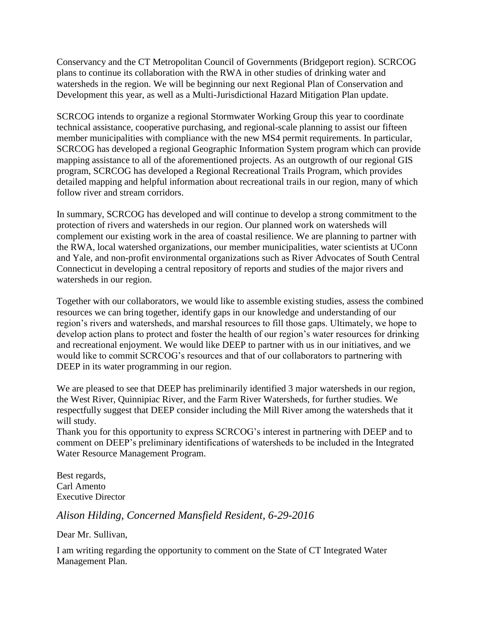Conservancy and the CT Metropolitan Council of Governments (Bridgeport region). SCRCOG plans to continue its collaboration with the RWA in other studies of drinking water and watersheds in the region. We will be beginning our next Regional Plan of Conservation and Development this year, as well as a Multi-Jurisdictional Hazard Mitigation Plan update.

SCRCOG intends to organize a regional Stormwater Working Group this year to coordinate technical assistance, cooperative purchasing, and regional-scale planning to assist our fifteen member municipalities with compliance with the new MS4 permit requirements. In particular, SCRCOG has developed a regional Geographic Information System program which can provide mapping assistance to all of the aforementioned projects. As an outgrowth of our regional GIS program, SCRCOG has developed a Regional Recreational Trails Program, which provides detailed mapping and helpful information about recreational trails in our region, many of which follow river and stream corridors.

In summary, SCRCOG has developed and will continue to develop a strong commitment to the protection of rivers and watersheds in our region. Our planned work on watersheds will complement our existing work in the area of coastal resilience. We are planning to partner with the RWA, local watershed organizations, our member municipalities, water scientists at UConn and Yale, and non-profit environmental organizations such as River Advocates of South Central Connecticut in developing a central repository of reports and studies of the major rivers and watersheds in our region.

Together with our collaborators, we would like to assemble existing studies, assess the combined resources we can bring together, identify gaps in our knowledge and understanding of our region's rivers and watersheds, and marshal resources to fill those gaps. Ultimately, we hope to develop action plans to protect and foster the health of our region's water resources for drinking and recreational enjoyment. We would like DEEP to partner with us in our initiatives, and we would like to commit SCRCOG's resources and that of our collaborators to partnering with DEEP in its water programming in our region.

We are pleased to see that DEEP has preliminarily identified 3 major watersheds in our region, the West River, Quinnipiac River, and the Farm River Watersheds, for further studies. We respectfully suggest that DEEP consider including the Mill River among the watersheds that it will study.

Thank you for this opportunity to express SCRCOG's interest in partnering with DEEP and to comment on DEEP's preliminary identifications of watersheds to be included in the Integrated Water Resource Management Program.

Best regards, Carl Amento Executive Director

*Alison Hilding, Concerned Mansfield Resident, 6-29-2016*

Dear Mr. Sullivan,

I am writing regarding the opportunity to comment on the State of CT Integrated Water Management Plan.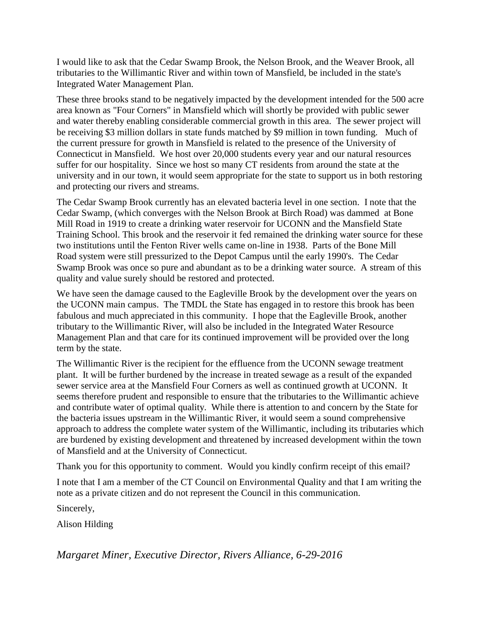I would like to ask that the Cedar Swamp Brook, the Nelson Brook, and the Weaver Brook, all tributaries to the Willimantic River and within town of Mansfield, be included in the state's Integrated Water Management Plan.

These three brooks stand to be negatively impacted by the development intended for the 500 acre area known as "Four Corners" in Mansfield which will shortly be provided with public sewer and water thereby enabling considerable commercial growth in this area. The sewer project will be receiving \$3 million dollars in state funds matched by \$9 million in town funding. Much of the current pressure for growth in Mansfield is related to the presence of the University of Connecticut in Mansfield. We host over 20,000 students every year and our natural resources suffer for our hospitality. Since we host so many CT residents from around the state at the university and in our town, it would seem appropriate for the state to support us in both restoring and protecting our rivers and streams.

The Cedar Swamp Brook currently has an elevated bacteria level in one section. I note that the Cedar Swamp, (which converges with the Nelson Brook at Birch Road) was dammed at Bone Mill Road in 1919 to create a drinking water reservoir for UCONN and the Mansfield State Training School. This brook and the reservoir it fed remained the drinking water source for these two institutions until the Fenton River wells came on-line in 1938. Parts of the Bone Mill Road system were still pressurized to the Depot Campus until the early 1990's. The Cedar Swamp Brook was once so pure and abundant as to be a drinking water source. A stream of this quality and value surely should be restored and protected.

We have seen the damage caused to the Eagleville Brook by the development over the years on the UCONN main campus. The TMDL the State has engaged in to restore this brook has been fabulous and much appreciated in this community. I hope that the Eagleville Brook, another tributary to the Willimantic River, will also be included in the Integrated Water Resource Management Plan and that care for its continued improvement will be provided over the long term by the state.

The Willimantic River is the recipient for the effluence from the UCONN sewage treatment plant. It will be further burdened by the increase in treated sewage as a result of the expanded sewer service area at the Mansfield Four Corners as well as continued growth at UCONN. It seems therefore prudent and responsible to ensure that the tributaries to the Willimantic achieve and contribute water of optimal quality. While there is attention to and concern by the State for the bacteria issues upstream in the Willimantic River, it would seem a sound comprehensive approach to address the complete water system of the Willimantic, including its tributaries which are burdened by existing development and threatened by increased development within the town of Mansfield and at the University of Connecticut.

Thank you for this opportunity to comment. Would you kindly confirm receipt of this email?

I note that I am a member of the CT Council on Environmental Quality and that I am writing the note as a private citizen and do not represent the Council in this communication.

Sincerely,

Alison Hilding

*Margaret Miner, Executive Director, Rivers Alliance, 6-29-2016*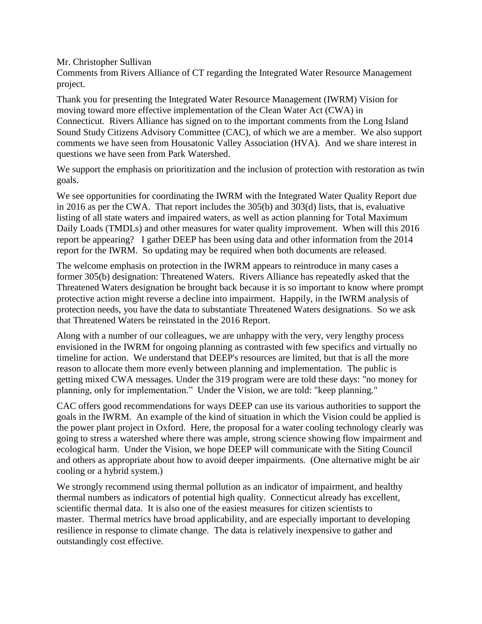Mr. Christopher Sullivan

Comments from Rivers Alliance of CT regarding the Integrated Water Resource Management project.

Thank you for presenting the Integrated Water Resource Management (IWRM) Vision for moving toward more effective implementation of the Clean Water Act (CWA) in Connecticut. Rivers Alliance has signed on to the important comments from the Long Island Sound Study Citizens Advisory Committee (CAC), of which we are a member. We also support comments we have seen from Housatonic Valley Association (HVA). And we share interest in questions we have seen from Park Watershed.

We support the emphasis on prioritization and the inclusion of protection with restoration as twin goals.

We see opportunities for coordinating the IWRM with the Integrated Water Quality Report due in 2016 as per the CWA. That report includes the 305(b) and 303(d) lists, that is, evaluative listing of all state waters and impaired waters, as well as action planning for Total Maximum Daily Loads (TMDLs) and other measures for water quality improvement. When will this 2016 report be appearing? I gather DEEP has been using data and other information from the 2014 report for the IWRM. So updating may be required when both documents are released.

The welcome emphasis on protection in the IWRM appears to reintroduce in many cases a former 305(b) designation: Threatened Waters. Rivers Alliance has repeatedly asked that the Threatened Waters designation be brought back because it is so important to know where prompt protective action might reverse a decline into impairment. Happily, in the IWRM analysis of protection needs, you have the data to substantiate Threatened Waters designations. So we ask that Threatened Waters be reinstated in the 2016 Report.

Along with a number of our colleagues, we are unhappy with the very, very lengthy process envisioned in the IWRM for ongoing planning as contrasted with few specifics and virtually no timeline for action. We understand that DEEP's resources are limited, but that is all the more reason to allocate them more evenly between planning and implementation. The public is getting mixed CWA messages. Under the 319 program were are told these days: "no money for planning, only for implementation." Under the Vision, we are told: "keep planning."

CAC offers good recommendations for ways DEEP can use its various authorities to support the goals in the IWRM. An example of the kind of situation in which the Vision could be applied is the power plant project in Oxford. Here, the proposal for a water cooling technology clearly was going to stress a watershed where there was ample, strong science showing flow impairment and ecological harm. Under the Vision, we hope DEEP will communicate with the Siting Council and others as appropriate about how to avoid deeper impairments. (One alternative might be air cooling or a hybrid system.)

We strongly recommend using thermal pollution as an indicator of impairment, and healthy thermal numbers as indicators of potential high quality. Connecticut already has excellent, scientific thermal data. It is also one of the easiest measures for citizen scientists to master. Thermal metrics have broad applicability, and are especially important to developing resilience in response to climate change. The data is relatively inexpensive to gather and outstandingly cost effective.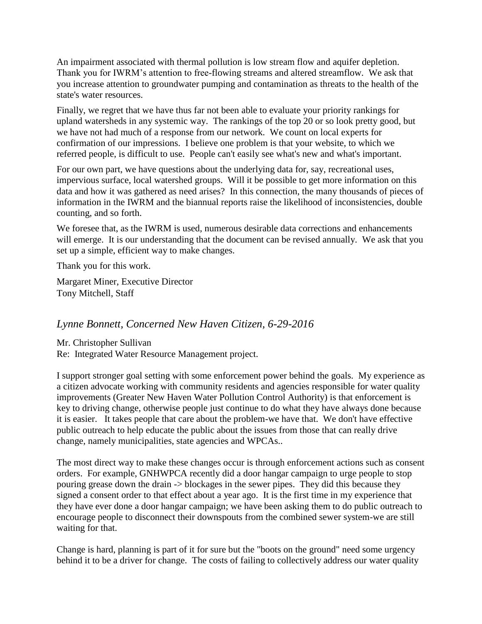An impairment associated with thermal pollution is low stream flow and aquifer depletion. Thank you for IWRM's attention to free-flowing streams and altered streamflow. We ask that you increase attention to groundwater pumping and contamination as threats to the health of the state's water resources.

Finally, we regret that we have thus far not been able to evaluate your priority rankings for upland watersheds in any systemic way. The rankings of the top 20 or so look pretty good, but we have not had much of a response from our network. We count on local experts for confirmation of our impressions. I believe one problem is that your website, to which we referred people, is difficult to use. People can't easily see what's new and what's important.

For our own part, we have questions about the underlying data for, say, recreational uses, impervious surface, local watershed groups. Will it be possible to get more information on this data and how it was gathered as need arises? In this connection, the many thousands of pieces of information in the IWRM and the biannual reports raise the likelihood of inconsistencies, double counting, and so forth.

We foresee that, as the IWRM is used, numerous desirable data corrections and enhancements will emerge. It is our understanding that the document can be revised annually. We ask that you set up a simple, efficient way to make changes.

Thank you for this work.

Margaret Miner, Executive Director Tony Mitchell, Staff

### *Lynne Bonnett, Concerned New Haven Citizen, 6-29-2016*

Mr. Christopher Sullivan Re: Integrated Water Resource Management project.

I support stronger goal setting with some enforcement power behind the goals. My experience as a citizen advocate working with community residents and agencies responsible for water quality improvements (Greater New Haven Water Pollution Control Authority) is that enforcement is key to driving change, otherwise people just continue to do what they have always done because it is easier. It takes people that care about the problem-we have that. We don't have effective public outreach to help educate the public about the issues from those that can really drive change, namely municipalities, state agencies and WPCAs..

The most direct way to make these changes occur is through enforcement actions such as consent orders. For example, GNHWPCA recently did a door hangar campaign to urge people to stop pouring grease down the drain -> blockages in the sewer pipes. They did this because they signed a consent order to that effect about a year ago. It is the first time in my experience that they have ever done a door hangar campaign; we have been asking them to do public outreach to encourage people to disconnect their downspouts from the combined sewer system-we are still waiting for that.

Change is hard, planning is part of it for sure but the "boots on the ground" need some urgency behind it to be a driver for change. The costs of failing to collectively address our water quality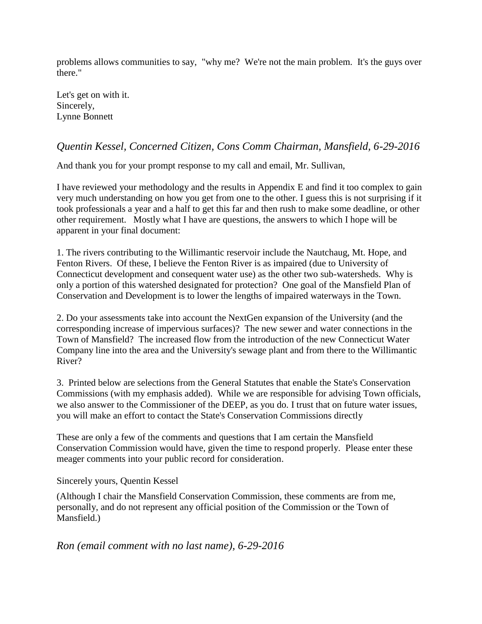problems allows communities to say, "why me? We're not the main problem. It's the guys over there."

Let's get on with it. Sincerely, Lynne Bonnett

### *Quentin Kessel, Concerned Citizen, Cons Comm Chairman, Mansfield, 6-29-2016*

And thank you for your prompt response to my call and email, Mr. Sullivan,

I have reviewed your methodology and the results in Appendix E and find it too complex to gain very much understanding on how you get from one to the other. I guess this is not surprising if it took professionals a year and a half to get this far and then rush to make some deadline, or other other requirement. Mostly what I have are questions, the answers to which I hope will be apparent in your final document:

1. The rivers contributing to the Willimantic reservoir include the Nautchaug, Mt. Hope, and Fenton Rivers. Of these, I believe the Fenton River is as impaired (due to University of Connecticut development and consequent water use) as the other two sub-watersheds. Why is only a portion of this watershed designated for protection? One goal of the Mansfield Plan of Conservation and Development is to lower the lengths of impaired waterways in the Town.

2. Do your assessments take into account the NextGen expansion of the University (and the corresponding increase of impervious surfaces)? The new sewer and water connections in the Town of Mansfield? The increased flow from the introduction of the new Connecticut Water Company line into the area and the University's sewage plant and from there to the Willimantic River?

3. Printed below are selections from the General Statutes that enable the State's Conservation Commissions (with my emphasis added). While we are responsible for advising Town officials, we also answer to the Commissioner of the DEEP, as you do. I trust that on future water issues, you will make an effort to contact the State's Conservation Commissions directly

These are only a few of the comments and questions that I am certain the Mansfield Conservation Commission would have, given the time to respond properly. Please enter these meager comments into your public record for consideration.

### Sincerely yours, Quentin Kessel

(Although I chair the Mansfield Conservation Commission, these comments are from me, personally, and do not represent any official position of the Commission or the Town of Mansfield.)

### *Ron (email comment with no last name), 6-29-2016*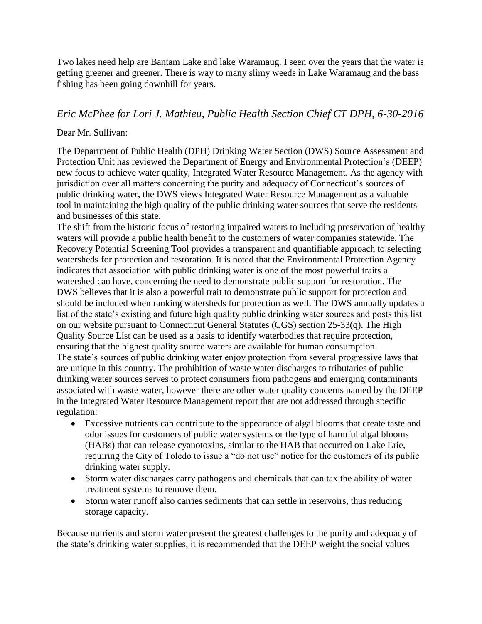Two lakes need help are Bantam Lake and lake Waramaug. I seen over the years that the water is getting greener and greener. There is way to many slimy weeds in Lake Waramaug and the bass fishing has been going downhill for years.

### *Eric McPhee for Lori J. Mathieu, Public Health Section Chief CT DPH, 6-30-2016*

### Dear Mr. Sullivan:

The Department of Public Health (DPH) Drinking Water Section (DWS) Source Assessment and Protection Unit has reviewed the Department of Energy and Environmental Protection's (DEEP) new focus to achieve water quality, Integrated Water Resource Management. As the agency with jurisdiction over all matters concerning the purity and adequacy of Connecticut's sources of public drinking water, the DWS views Integrated Water Resource Management as a valuable tool in maintaining the high quality of the public drinking water sources that serve the residents and businesses of this state.

The shift from the historic focus of restoring impaired waters to including preservation of healthy waters will provide a public health benefit to the customers of water companies statewide. The Recovery Potential Screening Tool provides a transparent and quantifiable approach to selecting watersheds for protection and restoration. It is noted that the Environmental Protection Agency indicates that association with public drinking water is one of the most powerful traits a watershed can have, concerning the need to demonstrate public support for restoration. The DWS believes that it is also a powerful trait to demonstrate public support for protection and should be included when ranking watersheds for protection as well. The DWS annually updates a list of the state's existing and future high quality public drinking water sources and posts this list on our website pursuant to Connecticut General Statutes (CGS) section 25-33(q). The High Quality Source List can be used as a basis to identify waterbodies that require protection, ensuring that the highest quality source waters are available for human consumption. The state's sources of public drinking water enjoy protection from several progressive laws that are unique in this country. The prohibition of waste water discharges to tributaries of public drinking water sources serves to protect consumers from pathogens and emerging contaminants associated with waste water, however there are other water quality concerns named by the DEEP in the Integrated Water Resource Management report that are not addressed through specific regulation:

- Excessive nutrients can contribute to the appearance of algal blooms that create taste and odor issues for customers of public water systems or the type of harmful algal blooms (HABs) that can release cyanotoxins, similar to the HAB that occurred on Lake Erie, requiring the City of Toledo to issue a "do not use" notice for the customers of its public drinking water supply.
- Storm water discharges carry pathogens and chemicals that can tax the ability of water treatment systems to remove them.
- Storm water runoff also carries sediments that can settle in reservoirs, thus reducing storage capacity.

Because nutrients and storm water present the greatest challenges to the purity and adequacy of the state's drinking water supplies, it is recommended that the DEEP weight the social values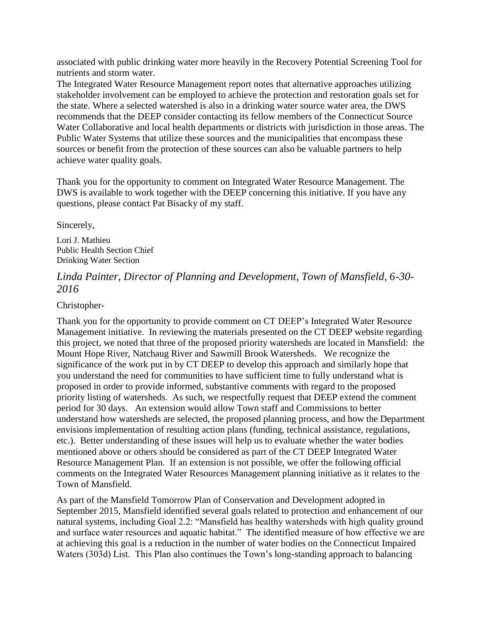associated with public drinking water more heavily in the Recovery Potential Screening Tool for nutrients and storm water.

The Integrated Water Resource Management report notes that alternative approaches utilizing stakeholder involvement can be employed to achieve the protection and restoration goals set for the state. Where a selected watershed is also in a drinking water source water area, the DWS recommends that the DEEP consider contacting its fellow members of the Connecticut Source Water Collaborative and local health departments or districts with jurisdiction in those areas. The Public Water Systems that utilize these sources and the municipalities that encompass these sources or benefit from the protection of these sources can also be valuable partners to help achieve water quality goals.

Thank you for the opportunity to comment on Integrated Water Resource Management. The DWS is available to work together with the DEEP concerning this initiative. If you have any questions, please contact Pat Bisacky of my staff.

Sincerely,

Lori J. Mathieu Public Health Section Chief Drinking Water Section

### *Linda Painter, Director of Planning and Development, Town of Mansfield, 6-30- 2016*

Christopher-

Thank you for the opportunity to provide comment on CT DEEP's Integrated Water Resource Management initiative. In reviewing the materials presented on the CT DEEP website regarding this project, we noted that three of the proposed priority watersheds are located in Mansfield: the Mount Hope River, Natchaug River and Sawmill Brook Watersheds. We recognize the significance of the work put in by CT DEEP to develop this approach and similarly hope that you understand the need for communities to have sufficient time to fully understand what is proposed in order to provide informed, substantive comments with regard to the proposed priority listing of watersheds. As such, we respectfully request that DEEP extend the comment period for 30 days. An extension would allow Town staff and Commissions to better understand how watersheds are selected, the proposed planning process, and how the Department envisions implementation of resulting action plans (funding, technical assistance, regulations, etc.). Better understanding of these issues will help us to evaluate whether the water bodies mentioned above or others should be considered as part of the CT DEEP Integrated Water Resource Management Plan. If an extension is not possible, we offer the following official comments on the Integrated Water Resources Management planning initiative as it relates to the Town of Mansfield.

As part of the Mansfield Tomorrow Plan of Conservation and Development adopted in September 2015, Mansfield identified several goals related to protection and enhancement of our natural systems, including Goal 2.2: "Mansfield has healthy watersheds with high quality ground and surface water resources and aquatic habitat." The identified measure of how effective we are at achieving this goal is a reduction in the number of water bodies on the Connecticut Impaired Waters (303d) List. This Plan also continues the Town's long-standing approach to balancing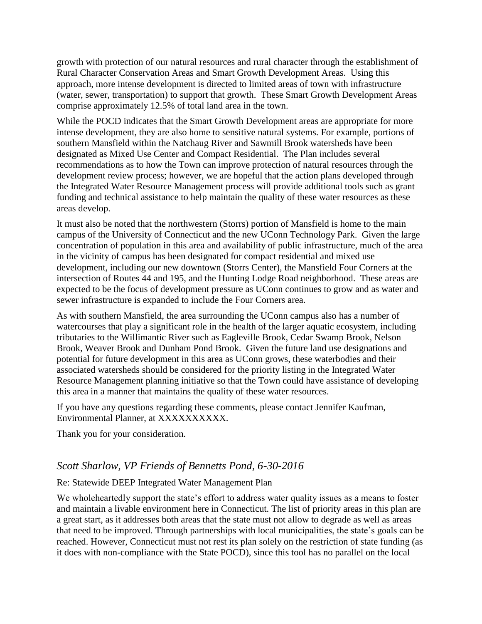growth with protection of our natural resources and rural character through the establishment of Rural Character Conservation Areas and Smart Growth Development Areas. Using this approach, more intense development is directed to limited areas of town with infrastructure (water, sewer, transportation) to support that growth. These Smart Growth Development Areas comprise approximately 12.5% of total land area in the town.

While the POCD indicates that the Smart Growth Development areas are appropriate for more intense development, they are also home to sensitive natural systems. For example, portions of southern Mansfield within the Natchaug River and Sawmill Brook watersheds have been designated as Mixed Use Center and Compact Residential. The Plan includes several recommendations as to how the Town can improve protection of natural resources through the development review process; however, we are hopeful that the action plans developed through the Integrated Water Resource Management process will provide additional tools such as grant funding and technical assistance to help maintain the quality of these water resources as these areas develop.

It must also be noted that the northwestern (Storrs) portion of Mansfield is home to the main campus of the University of Connecticut and the new UConn Technology Park. Given the large concentration of population in this area and availability of public infrastructure, much of the area in the vicinity of campus has been designated for compact residential and mixed use development, including our new downtown (Storrs Center), the Mansfield Four Corners at the intersection of Routes 44 and 195, and the Hunting Lodge Road neighborhood. These areas are expected to be the focus of development pressure as UConn continues to grow and as water and sewer infrastructure is expanded to include the Four Corners area.

As with southern Mansfield, the area surrounding the UConn campus also has a number of watercourses that play a significant role in the health of the larger aquatic ecosystem, including tributaries to the Willimantic River such as Eagleville Brook, Cedar Swamp Brook, Nelson Brook, Weaver Brook and Dunham Pond Brook. Given the future land use designations and potential for future development in this area as UConn grows, these waterbodies and their associated watersheds should be considered for the priority listing in the Integrated Water Resource Management planning initiative so that the Town could have assistance of developing this area in a manner that maintains the quality of these water resources.

If you have any questions regarding these comments, please contact Jennifer Kaufman, Environmental Planner, at XXXXXXXXXX.

Thank you for your consideration.

### *Scott Sharlow, VP Friends of Bennetts Pond, 6-30-2016*

### Re: Statewide DEEP Integrated Water Management Plan

We wholeheartedly support the state's effort to address water quality issues as a means to foster and maintain a livable environment here in Connecticut. The list of priority areas in this plan are a great start, as it addresses both areas that the state must not allow to degrade as well as areas that need to be improved. Through partnerships with local municipalities, the state's goals can be reached. However, Connecticut must not rest its plan solely on the restriction of state funding (as it does with non-compliance with the State POCD), since this tool has no parallel on the local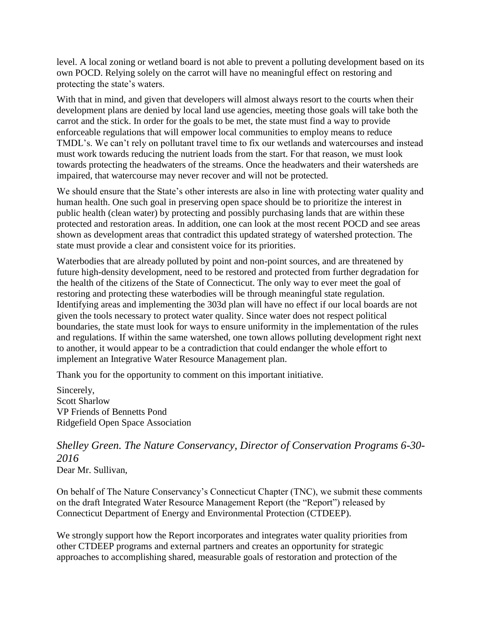level. A local zoning or wetland board is not able to prevent a polluting development based on its own POCD. Relying solely on the carrot will have no meaningful effect on restoring and protecting the state's waters.

With that in mind, and given that developers will almost always resort to the courts when their development plans are denied by local land use agencies, meeting those goals will take both the carrot and the stick. In order for the goals to be met, the state must find a way to provide enforceable regulations that will empower local communities to employ means to reduce TMDL's. We can't rely on pollutant travel time to fix our wetlands and watercourses and instead must work towards reducing the nutrient loads from the start. For that reason, we must look towards protecting the headwaters of the streams. Once the headwaters and their watersheds are impaired, that watercourse may never recover and will not be protected.

We should ensure that the State's other interests are also in line with protecting water quality and human health. One such goal in preserving open space should be to prioritize the interest in public health (clean water) by protecting and possibly purchasing lands that are within these protected and restoration areas. In addition, one can look at the most recent POCD and see areas shown as development areas that contradict this updated strategy of watershed protection. The state must provide a clear and consistent voice for its priorities.

Waterbodies that are already polluted by point and non-point sources, and are threatened by future high-density development, need to be restored and protected from further degradation for the health of the citizens of the State of Connecticut. The only way to ever meet the goal of restoring and protecting these waterbodies will be through meaningful state regulation. Identifying areas and implementing the 303d plan will have no effect if our local boards are not given the tools necessary to protect water quality. Since water does not respect political boundaries, the state must look for ways to ensure uniformity in the implementation of the rules and regulations. If within the same watershed, one town allows polluting development right next to another, it would appear to be a contradiction that could endanger the whole effort to implement an Integrative Water Resource Management plan.

Thank you for the opportunity to comment on this important initiative.

Sincerely, Scott Sharlow VP Friends of Bennetts Pond Ridgefield Open Space Association

# *Shelley Green. The Nature Conservancy, Director of Conservation Programs 6-30- 2016*

Dear Mr. Sullivan,

On behalf of The Nature Conservancy's Connecticut Chapter (TNC), we submit these comments on the draft Integrated Water Resource Management Report (the "Report") released by Connecticut Department of Energy and Environmental Protection (CTDEEP).

We strongly support how the Report incorporates and integrates water quality priorities from other CTDEEP programs and external partners and creates an opportunity for strategic approaches to accomplishing shared, measurable goals of restoration and protection of the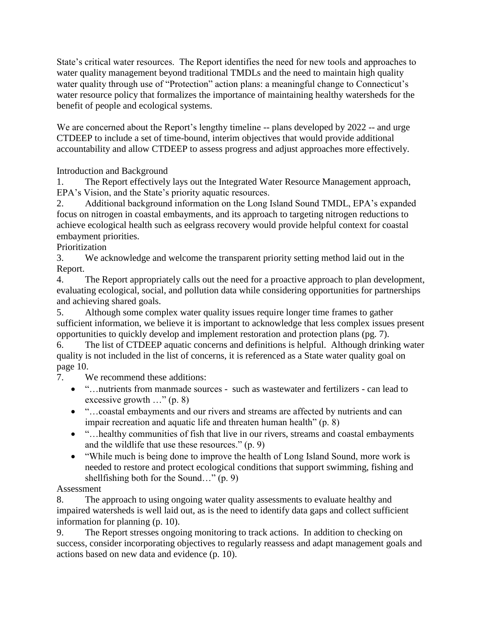State's critical water resources. The Report identifies the need for new tools and approaches to water quality management beyond traditional TMDLs and the need to maintain high quality water quality through use of "Protection" action plans: a meaningful change to Connecticut's water resource policy that formalizes the importance of maintaining healthy watersheds for the benefit of people and ecological systems.

We are concerned about the Report's lengthy timeline -- plans developed by 2022 -- and urge CTDEEP to include a set of time-bound, interim objectives that would provide additional accountability and allow CTDEEP to assess progress and adjust approaches more effectively.

Introduction and Background

1. The Report effectively lays out the Integrated Water Resource Management approach, EPA's Vision, and the State's priority aquatic resources.

2. Additional background information on the Long Island Sound TMDL, EPA's expanded focus on nitrogen in coastal embayments, and its approach to targeting nitrogen reductions to achieve ecological health such as eelgrass recovery would provide helpful context for coastal embayment priorities.

Prioritization

3. We acknowledge and welcome the transparent priority setting method laid out in the Report.

4. The Report appropriately calls out the need for a proactive approach to plan development, evaluating ecological, social, and pollution data while considering opportunities for partnerships and achieving shared goals.

5. Although some complex water quality issues require longer time frames to gather sufficient information, we believe it is important to acknowledge that less complex issues present opportunities to quickly develop and implement restoration and protection plans (pg. 7).

6. The list of CTDEEP aquatic concerns and definitions is helpful. Although drinking water quality is not included in the list of concerns, it is referenced as a State water quality goal on page 10.

7. We recommend these additions:

- "…nutrients from manmade sources such as wastewater and fertilizers can lead to excessive growth …" (p. 8)
- "…coastal embayments and our rivers and streams are affected by nutrients and can impair recreation and aquatic life and threaten human health" (p. 8)
- "...healthy communities of fish that live in our rivers, streams and coastal embayments and the wildlife that use these resources." (p. 9)
- "While much is being done to improve the health of Long Island Sound, more work is needed to restore and protect ecological conditions that support swimming, fishing and shellfishing both for the Sound…" (p. 9)

Assessment

8. The approach to using ongoing water quality assessments to evaluate healthy and impaired watersheds is well laid out, as is the need to identify data gaps and collect sufficient information for planning (p. 10).

9. The Report stresses ongoing monitoring to track actions. In addition to checking on success, consider incorporating objectives to regularly reassess and adapt management goals and actions based on new data and evidence (p. 10).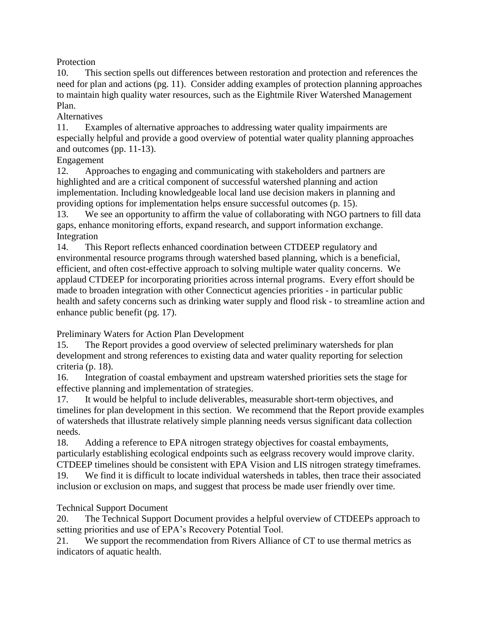**Protection** 

10. This section spells out differences between restoration and protection and references the need for plan and actions (pg. 11). Consider adding examples of protection planning approaches to maintain high quality water resources, such as the Eightmile River Watershed Management Plan.

Alternatives

11. Examples of alternative approaches to addressing water quality impairments are especially helpful and provide a good overview of potential water quality planning approaches and outcomes (pp. 11-13).

### Engagement

12. Approaches to engaging and communicating with stakeholders and partners are highlighted and are a critical component of successful watershed planning and action implementation. Including knowledgeable local land use decision makers in planning and providing options for implementation helps ensure successful outcomes (p. 15).

13. We see an opportunity to affirm the value of collaborating with NGO partners to fill data gaps, enhance monitoring efforts, expand research, and support information exchange. Integration

14. This Report reflects enhanced coordination between CTDEEP regulatory and environmental resource programs through watershed based planning, which is a beneficial, efficient, and often cost-effective approach to solving multiple water quality concerns. We applaud CTDEEP for incorporating priorities across internal programs. Every effort should be made to broaden integration with other Connecticut agencies priorities - in particular public health and safety concerns such as drinking water supply and flood risk - to streamline action and enhance public benefit (pg. 17).

Preliminary Waters for Action Plan Development

15. The Report provides a good overview of selected preliminary watersheds for plan development and strong references to existing data and water quality reporting for selection criteria (p. 18).

16. Integration of coastal embayment and upstream watershed priorities sets the stage for effective planning and implementation of strategies.

17. It would be helpful to include deliverables, measurable short-term objectives, and timelines for plan development in this section. We recommend that the Report provide examples of watersheds that illustrate relatively simple planning needs versus significant data collection needs.

18. Adding a reference to EPA nitrogen strategy objectives for coastal embayments, particularly establishing ecological endpoints such as eelgrass recovery would improve clarity. CTDEEP timelines should be consistent with EPA Vision and LIS nitrogen strategy timeframes.

19. We find it is difficult to locate individual watersheds in tables, then trace their associated inclusion or exclusion on maps, and suggest that process be made user friendly over time.

### Technical Support Document

20. The Technical Support Document provides a helpful overview of CTDEEPs approach to setting priorities and use of EPA's Recovery Potential Tool.

21. We support the recommendation from Rivers Alliance of CT to use thermal metrics as indicators of aquatic health.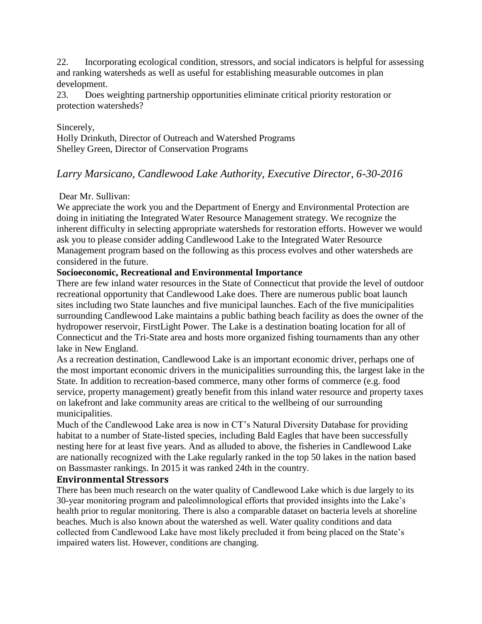22. Incorporating ecological condition, stressors, and social indicators is helpful for assessing and ranking watersheds as well as useful for establishing measurable outcomes in plan development.

23. Does weighting partnership opportunities eliminate critical priority restoration or protection watersheds?

Sincerely, Holly Drinkuth, Director of Outreach and Watershed Programs Shelley Green, Director of Conservation Programs

### *Larry Marsicano, Candlewood Lake Authority, Executive Director, 6-30-2016*

### Dear Mr. Sullivan:

We appreciate the work you and the Department of Energy and Environmental Protection are doing in initiating the Integrated Water Resource Management strategy. We recognize the inherent difficulty in selecting appropriate watersheds for restoration efforts. However we would ask you to please consider adding Candlewood Lake to the Integrated Water Resource Management program based on the following as this process evolves and other watersheds are considered in the future.

### **Socioeconomic, Recreational and Environmental Importance**

There are few inland water resources in the State of Connecticut that provide the level of outdoor recreational opportunity that Candlewood Lake does. There are numerous public boat launch sites including two State launches and five municipal launches. Each of the five municipalities surrounding Candlewood Lake maintains a public bathing beach facility as does the owner of the hydropower reservoir, FirstLight Power. The Lake is a destination boating location for all of Connecticut and the Tri-State area and hosts more organized fishing tournaments than any other lake in New England.

As a recreation destination, Candlewood Lake is an important economic driver, perhaps one of the most important economic drivers in the municipalities surrounding this, the largest lake in the State. In addition to recreation-based commerce, many other forms of commerce (e.g. food service, property management) greatly benefit from this inland water resource and property taxes on lakefront and lake community areas are critical to the wellbeing of our surrounding municipalities.

Much of the Candlewood Lake area is now in CT's Natural Diversity Database for providing habitat to a number of State-listed species, including Bald Eagles that have been successfully nesting here for at least five years. And as alluded to above, the fisheries in Candlewood Lake are nationally recognized with the Lake regularly ranked in the top 50 lakes in the nation based on Bassmaster rankings. In 2015 it was ranked 24th in the country.

### **Environmental Stressors**

There has been much research on the water quality of Candlewood Lake which is due largely to its 30-year monitoring program and paleolimnological efforts that provided insights into the Lake's health prior to regular monitoring. There is also a comparable dataset on bacteria levels at shoreline beaches. Much is also known about the watershed as well. Water quality conditions and data collected from Candlewood Lake have most likely precluded it from being placed on the State's impaired waters list. However, conditions are changing.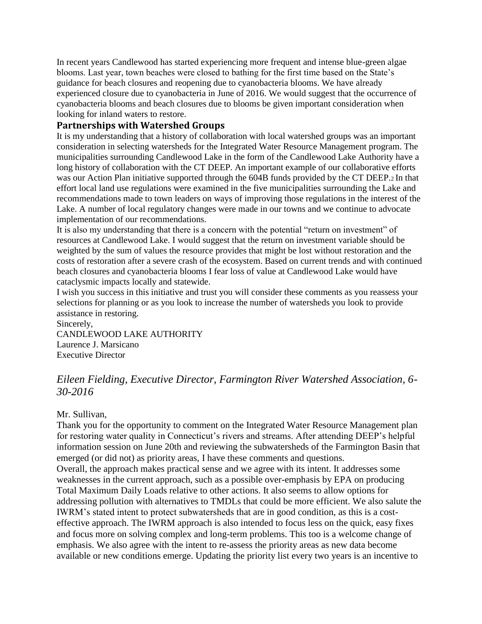In recent years Candlewood has started experiencing more frequent and intense blue-green algae blooms. Last year, town beaches were closed to bathing for the first time based on the State's guidance for beach closures and reopening due to cyanobacteria blooms. We have already experienced closure due to cyanobacteria in June of 2016. We would suggest that the occurrence of cyanobacteria blooms and beach closures due to blooms be given important consideration when looking for inland waters to restore.

### **Partnerships with Watershed Groups**

It is my understanding that a history of collaboration with local watershed groups was an important consideration in selecting watersheds for the Integrated Water Resource Management program. The municipalities surrounding Candlewood Lake in the form of the Candlewood Lake Authority have a long history of collaboration with the CT DEEP. An important example of our collaborative efforts was our Action Plan initiative supported through the 604B funds provided by the CT DEEP.2 In that effort local land use regulations were examined in the five municipalities surrounding the Lake and recommendations made to town leaders on ways of improving those regulations in the interest of the Lake. A number of local regulatory changes were made in our towns and we continue to advocate implementation of our recommendations.

It is also my understanding that there is a concern with the potential "return on investment" of resources at Candlewood Lake. I would suggest that the return on investment variable should be weighted by the sum of values the resource provides that might be lost without restoration and the costs of restoration after a severe crash of the ecosystem. Based on current trends and with continued beach closures and cyanobacteria blooms I fear loss of value at Candlewood Lake would have cataclysmic impacts locally and statewide.

I wish you success in this initiative and trust you will consider these comments as you reassess your selections for planning or as you look to increase the number of watersheds you look to provide assistance in restoring.

Sincerely, CANDLEWOOD LAKE AUTHORITY Laurence J. Marsicano Executive Director

### *Eileen Fielding, Executive Director, Farmington River Watershed Association, 6- 30-2016*

#### Mr. Sullivan,

Thank you for the opportunity to comment on the Integrated Water Resource Management plan for restoring water quality in Connecticut's rivers and streams. After attending DEEP's helpful information session on June 20th and reviewing the subwatersheds of the Farmington Basin that emerged (or did not) as priority areas, I have these comments and questions.

Overall, the approach makes practical sense and we agree with its intent. It addresses some weaknesses in the current approach, such as a possible over-emphasis by EPA on producing Total Maximum Daily Loads relative to other actions. It also seems to allow options for addressing pollution with alternatives to TMDLs that could be more efficient. We also salute the IWRM's stated intent to protect subwatersheds that are in good condition, as this is a costeffective approach. The IWRM approach is also intended to focus less on the quick, easy fixes and focus more on solving complex and long-term problems. This too is a welcome change of emphasis. We also agree with the intent to re-assess the priority areas as new data become available or new conditions emerge. Updating the priority list every two years is an incentive to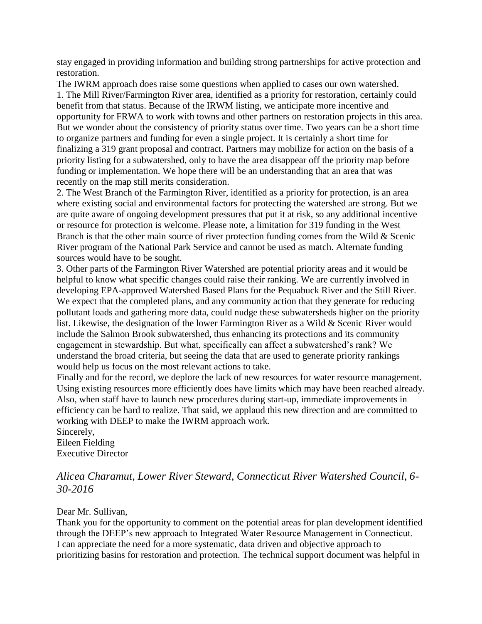stay engaged in providing information and building strong partnerships for active protection and restoration.

The IWRM approach does raise some questions when applied to cases our own watershed. 1. The Mill River/Farmington River area, identified as a priority for restoration, certainly could benefit from that status. Because of the IRWM listing, we anticipate more incentive and opportunity for FRWA to work with towns and other partners on restoration projects in this area. But we wonder about the consistency of priority status over time. Two years can be a short time to organize partners and funding for even a single project. It is certainly a short time for finalizing a 319 grant proposal and contract. Partners may mobilize for action on the basis of a priority listing for a subwatershed, only to have the area disappear off the priority map before funding or implementation. We hope there will be an understanding that an area that was recently on the map still merits consideration.

2. The West Branch of the Farmington River, identified as a priority for protection, is an area where existing social and environmental factors for protecting the watershed are strong. But we are quite aware of ongoing development pressures that put it at risk, so any additional incentive or resource for protection is welcome. Please note, a limitation for 319 funding in the West Branch is that the other main source of river protection funding comes from the Wild  $&$  Scenic River program of the National Park Service and cannot be used as match. Alternate funding sources would have to be sought.

3. Other parts of the Farmington River Watershed are potential priority areas and it would be helpful to know what specific changes could raise their ranking. We are currently involved in developing EPA-approved Watershed Based Plans for the Pequabuck River and the Still River. We expect that the completed plans, and any community action that they generate for reducing pollutant loads and gathering more data, could nudge these subwatersheds higher on the priority list. Likewise, the designation of the lower Farmington River as a Wild & Scenic River would include the Salmon Brook subwatershed, thus enhancing its protections and its community engagement in stewardship. But what, specifically can affect a subwatershed's rank? We understand the broad criteria, but seeing the data that are used to generate priority rankings would help us focus on the most relevant actions to take.

Finally and for the record, we deplore the lack of new resources for water resource management. Using existing resources more efficiently does have limits which may have been reached already. Also, when staff have to launch new procedures during start-up, immediate improvements in efficiency can be hard to realize. That said, we applaud this new direction and are committed to working with DEEP to make the IWRM approach work.

Sincerely, Eileen Fielding Executive Director

### *Alicea Charamut, Lower River Steward, Connecticut River Watershed Council, 6- 30-2016*

### Dear Mr. Sullivan,

Thank you for the opportunity to comment on the potential areas for plan development identified through the DEEP's new approach to Integrated Water Resource Management in Connecticut. I can appreciate the need for a more systematic, data driven and objective approach to prioritizing basins for restoration and protection. The technical support document was helpful in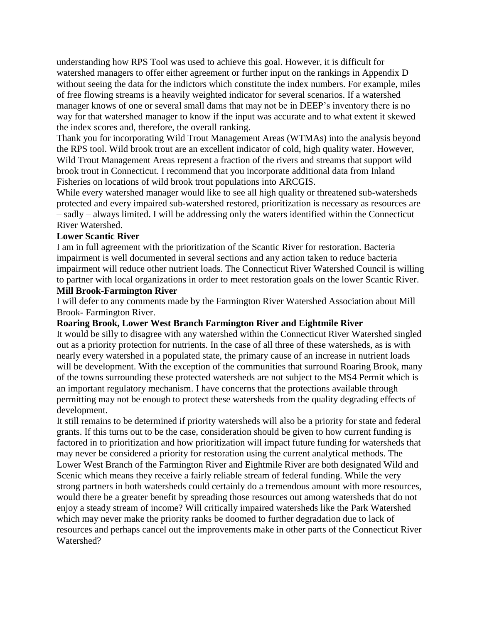understanding how RPS Tool was used to achieve this goal. However, it is difficult for watershed managers to offer either agreement or further input on the rankings in Appendix D without seeing the data for the indictors which constitute the index numbers. For example, miles of free flowing streams is a heavily weighted indicator for several scenarios. If a watershed manager knows of one or several small dams that may not be in DEEP's inventory there is no way for that watershed manager to know if the input was accurate and to what extent it skewed the index scores and, therefore, the overall ranking.

Thank you for incorporating Wild Trout Management Areas (WTMAs) into the analysis beyond the RPS tool. Wild brook trout are an excellent indicator of cold, high quality water. However, Wild Trout Management Areas represent a fraction of the rivers and streams that support wild brook trout in Connecticut. I recommend that you incorporate additional data from Inland Fisheries on locations of wild brook trout populations into ARCGIS.

While every watershed manager would like to see all high quality or threatened sub-watersheds protected and every impaired sub-watershed restored, prioritization is necessary as resources are – sadly – always limited. I will be addressing only the waters identified within the Connecticut River Watershed.

#### **Lower Scantic River**

I am in full agreement with the prioritization of the Scantic River for restoration. Bacteria impairment is well documented in several sections and any action taken to reduce bacteria impairment will reduce other nutrient loads. The Connecticut River Watershed Council is willing to partner with local organizations in order to meet restoration goals on the lower Scantic River.

### **Mill Brook-Farmington River**

I will defer to any comments made by the Farmington River Watershed Association about Mill Brook- Farmington River.

#### **Roaring Brook, Lower West Branch Farmington River and Eightmile River**

It would be silly to disagree with any watershed within the Connecticut River Watershed singled out as a priority protection for nutrients. In the case of all three of these watersheds, as is with nearly every watershed in a populated state, the primary cause of an increase in nutrient loads will be development. With the exception of the communities that surround Roaring Brook, many of the towns surrounding these protected watersheds are not subject to the MS4 Permit which is an important regulatory mechanism. I have concerns that the protections available through permitting may not be enough to protect these watersheds from the quality degrading effects of development.

It still remains to be determined if priority watersheds will also be a priority for state and federal grants. If this turns out to be the case, consideration should be given to how current funding is factored in to prioritization and how prioritization will impact future funding for watersheds that may never be considered a priority for restoration using the current analytical methods. The Lower West Branch of the Farmington River and Eightmile River are both designated Wild and Scenic which means they receive a fairly reliable stream of federal funding. While the very strong partners in both watersheds could certainly do a tremendous amount with more resources, would there be a greater benefit by spreading those resources out among watersheds that do not enjoy a steady stream of income? Will critically impaired watersheds like the Park Watershed which may never make the priority ranks be doomed to further degradation due to lack of resources and perhaps cancel out the improvements make in other parts of the Connecticut River Watershed?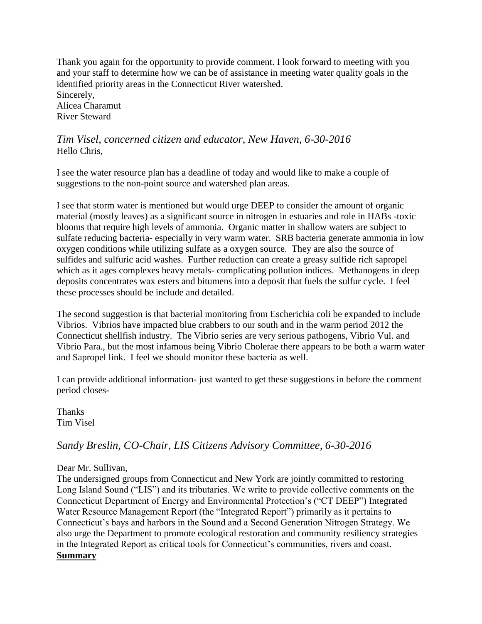Thank you again for the opportunity to provide comment. I look forward to meeting with you and your staff to determine how we can be of assistance in meeting water quality goals in the identified priority areas in the Connecticut River watershed. Sincerely, Alicea Charamut River Steward

### *Tim Visel, concerned citizen and educator, New Haven, 6-30-2016* Hello Chris,

I see the water resource plan has a deadline of today and would like to make a couple of suggestions to the non-point source and watershed plan areas.

I see that storm water is mentioned but would urge DEEP to consider the amount of organic material (mostly leaves) as a significant source in nitrogen in estuaries and role in HABs -toxic blooms that require high levels of ammonia. Organic matter in shallow waters are subject to sulfate reducing bacteria- especially in very warm water. SRB bacteria generate ammonia in low oxygen conditions while utilizing sulfate as a oxygen source. They are also the source of sulfides and sulfuric acid washes. Further reduction can create a greasy sulfide rich sapropel which as it ages complexes heavy metals- complicating pollution indices. Methanogens in deep deposits concentrates wax esters and bitumens into a deposit that fuels the sulfur cycle. I feel these processes should be include and detailed.

The second suggestion is that bacterial monitoring from Escherichia coli be expanded to include Vibrios. Vibrios have impacted blue crabbers to our south and in the warm period 2012 the Connecticut shellfish industry. The Vibrio series are very serious pathogens, Vibrio Vul. and Vibrio Para., but the most infamous being Vibrio Cholerae there appears to be both a warm water and Sapropel link. I feel we should monitor these bacteria as well.

I can provide additional information- just wanted to get these suggestions in before the comment period closes-

**Thanks** Tim Visel

### *Sandy Breslin, CO-Chair, LIS Citizens Advisory Committee, 6-30-2016*

### Dear Mr. Sullivan,

The undersigned groups from Connecticut and New York are jointly committed to restoring Long Island Sound ("LIS") and its tributaries. We write to provide collective comments on the Connecticut Department of Energy and Environmental Protection's ("CT DEEP") Integrated Water Resource Management Report (the "Integrated Report") primarily as it pertains to Connecticut's bays and harbors in the Sound and a Second Generation Nitrogen Strategy. We also urge the Department to promote ecological restoration and community resiliency strategies in the Integrated Report as critical tools for Connecticut's communities, rivers and coast. **Summary**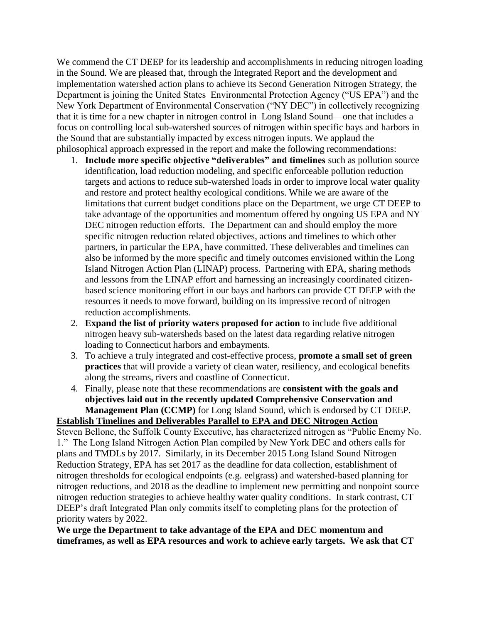We commend the CT DEEP for its leadership and accomplishments in reducing nitrogen loading in the Sound. We are pleased that, through the Integrated Report and the development and implementation watershed action plans to achieve its Second Generation Nitrogen Strategy, the Department is joining the United States Environmental Protection Agency ("US EPA") and the New York Department of Environmental Conservation ("NY DEC") in collectively recognizing that it is time for a new chapter in nitrogen control in Long Island Sound—one that includes a focus on controlling local sub-watershed sources of nitrogen within specific bays and harbors in the Sound that are substantially impacted by excess nitrogen inputs. We applaud the philosophical approach expressed in the report and make the following recommendations:

- 1. **Include more specific objective "deliverables" and timelines** such as pollution source identification, load reduction modeling, and specific enforceable pollution reduction targets and actions to reduce sub-watershed loads in order to improve local water quality and restore and protect healthy ecological conditions. While we are aware of the limitations that current budget conditions place on the Department, we urge CT DEEP to take advantage of the opportunities and momentum offered by ongoing US EPA and NY DEC nitrogen reduction efforts. The Department can and should employ the more specific nitrogen reduction related objectives, actions and timelines to which other partners, in particular the EPA, have committed. These deliverables and timelines can also be informed by the more specific and timely outcomes envisioned within the Long Island Nitrogen Action Plan (LINAP) process. Partnering with EPA, sharing methods and lessons from the LINAP effort and harnessing an increasingly coordinated citizenbased science monitoring effort in our bays and harbors can provide CT DEEP with the resources it needs to move forward, building on its impressive record of nitrogen reduction accomplishments.
- 2. **Expand the list of priority waters proposed for action** to include five additional nitrogen heavy sub-watersheds based on the latest data regarding relative nitrogen loading to Connecticut harbors and embayments.
- 3. To achieve a truly integrated and cost-effective process, **promote a small set of green practices** that will provide a variety of clean water, resiliency, and ecological benefits along the streams, rivers and coastline of Connecticut.
- 4. Finally, please note that these recommendations are **consistent with the goals and objectives laid out in the recently updated Comprehensive Conservation and Management Plan (CCMP)** for Long Island Sound, which is endorsed by CT DEEP.

### **Establish Timelines and Deliverables Parallel to EPA and DEC Nitrogen Action**

Steven Bellone, the Suffolk County Executive, has characterized nitrogen as "Public Enemy No. 1." The Long Island Nitrogen Action Plan compiled by New York DEC and others calls for plans and TMDLs by 2017. Similarly, in its December 2015 Long Island Sound Nitrogen Reduction Strategy, EPA has set 2017 as the deadline for data collection, establishment of nitrogen thresholds for ecological endpoints (e.g. eelgrass) and watershed-based planning for nitrogen reductions, and 2018 as the deadline to implement new permitting and nonpoint source nitrogen reduction strategies to achieve healthy water quality conditions. In stark contrast, CT DEEP's draft Integrated Plan only commits itself to completing plans for the protection of priority waters by 2022.

**We urge the Department to take advantage of the EPA and DEC momentum and timeframes, as well as EPA resources and work to achieve early targets. We ask that CT**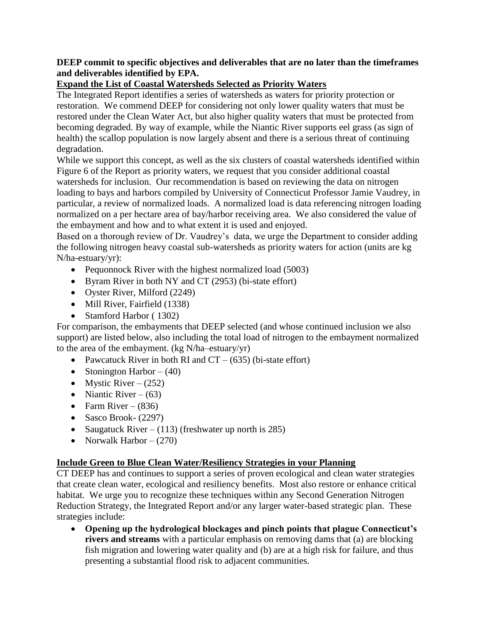### **DEEP commit to specific objectives and deliverables that are no later than the timeframes and deliverables identified by EPA.**

### **Expand the List of Coastal Watersheds Selected as Priority Waters**

The Integrated Report identifies a series of watersheds as waters for priority protection or restoration. We commend DEEP for considering not only lower quality waters that must be restored under the Clean Water Act, but also higher quality waters that must be protected from becoming degraded. By way of example, while the Niantic River supports eel grass (as sign of health) the scallop population is now largely absent and there is a serious threat of continuing degradation.

While we support this concept, as well as the six clusters of coastal watersheds identified within Figure 6 of the Report as priority waters, we request that you consider additional coastal watersheds for inclusion. Our recommendation is based on reviewing the data on nitrogen loading to bays and harbors compiled by University of Connecticut Professor Jamie Vaudrey, in particular, a review of normalized loads. A normalized load is data referencing nitrogen loading normalized on a per hectare area of bay/harbor receiving area. We also considered the value of the embayment and how and to what extent it is used and enjoyed.

Based on a thorough review of Dr. Vaudrey's data, we urge the Department to consider adding the following nitrogen heavy coastal sub-watersheds as priority waters for action (units are kg N/ha-estuary/yr):

- Pequonnock River with the highest normalized load (5003)
- Byram River in both NY and CT (2953) (bi-state effort)
- Oyster River, Milford (2249)
- Mill River, Fairfield (1338)
- Stamford Harbor (1302)

For comparison, the embayments that DEEP selected (and whose continued inclusion we also support) are listed below, also including the total load of nitrogen to the embayment normalized to the area of the embayment. (kg N/ha–estuary/yr)

- Pawcatuck River in both RI and  $CT (635)$  (bi-state effort)
- Stonington Harbor  $(40)$
- Mystic River  $(252)$
- Niantic River  $(63)$
- Farm River  $(836)$
- $\bullet$  Sasco Brook- (2297)
- Saugatuck River (113) (freshwater up north is 285)
- Norwalk Harbor  $(270)$

### **Include Green to Blue Clean Water/Resiliency Strategies in your Planning**

CT DEEP has and continues to support a series of proven ecological and clean water strategies that create clean water, ecological and resiliency benefits. Most also restore or enhance critical habitat. We urge you to recognize these techniques within any Second Generation Nitrogen Reduction Strategy, the Integrated Report and/or any larger water-based strategic plan. These strategies include:

 **Opening up the hydrological blockages and pinch points that plague Connecticut's rivers and streams** with a particular emphasis on removing dams that (a) are blocking fish migration and lowering water quality and (b) are at a high risk for failure, and thus presenting a substantial flood risk to adjacent communities.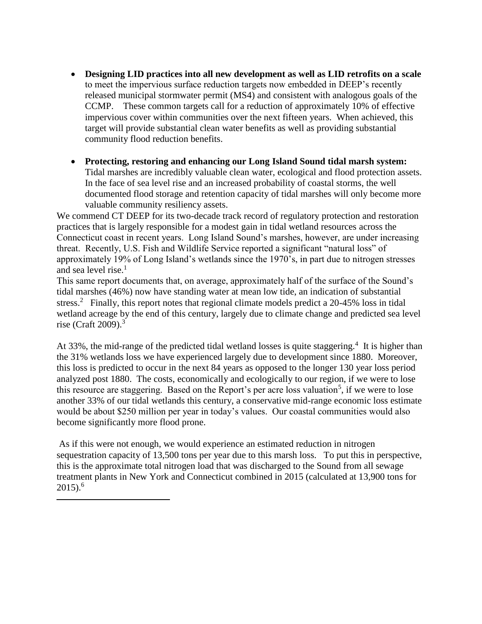- **Designing LID practices into all new development as well as LID retrofits on a scale** to meet the impervious surface reduction targets now embedded in DEEP's recently released municipal stormwater permit (MS4) and consistent with analogous goals of the CCMP. These common targets call for a reduction of approximately 10% of effective impervious cover within communities over the next fifteen years. When achieved, this target will provide substantial clean water benefits as well as providing substantial community flood reduction benefits.
- **Protecting, restoring and enhancing our Long Island Sound tidal marsh system:** Tidal marshes are incredibly valuable clean water, ecological and flood protection assets. In the face of sea level rise and an increased probability of coastal storms, the well documented flood storage and retention capacity of tidal marshes will only become more valuable community resiliency assets.

We commend CT DEEP for its two-decade track record of regulatory protection and restoration practices that is largely responsible for a modest gain in tidal wetland resources across the Connecticut coast in recent years. Long Island Sound's marshes, however, are under increasing threat. Recently, U.S. Fish and Wildlife Service reported a significant "natural loss" of approximately 19% of Long Island's wetlands since the 1970's, in part due to nitrogen stresses and sea level rise. $<sup>1</sup>$ </sup>

This same report documents that, on average, approximately half of the surface of the Sound's tidal marshes (46%) now have standing water at mean low tide, an indication of substantial stress.<sup>2</sup> Finally, this report notes that regional climate models predict a 20-45% loss in tidal wetland acreage by the end of this century, largely due to climate change and predicted sea level rise (Craft 2009). $3$ 

At 33%, the mid-range of the predicted tidal wetland losses is quite staggering.<sup>4</sup> It is higher than the 31% wetlands loss we have experienced largely due to development since 1880. Moreover, this loss is predicted to occur in the next 84 years as opposed to the longer 130 year loss period analyzed post 1880. The costs, economically and ecologically to our region, if we were to lose this resource are staggering. Based on the Report's per acre loss valuation<sup>5</sup>, if we were to lose another 33% of our tidal wetlands this century, a conservative mid-range economic loss estimate would be about \$250 million per year in today's values. Our coastal communities would also become significantly more flood prone.

As if this were not enough, we would experience an estimated reduction in nitrogen sequestration capacity of 13,500 tons per year due to this marsh loss. To put this in perspective, this is the approximate total nitrogen load that was discharged to the Sound from all sewage treatment plants in New York and Connecticut combined in 2015 (calculated at 13,900 tons for  $2015$ ).<sup>6</sup>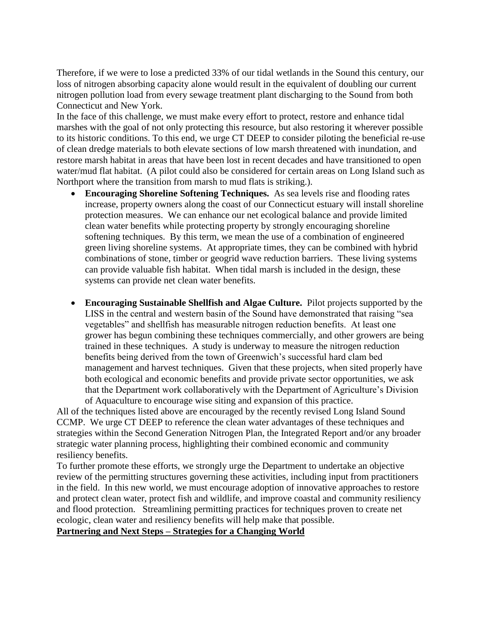Therefore, if we were to lose a predicted 33% of our tidal wetlands in the Sound this century, our loss of nitrogen absorbing capacity alone would result in the equivalent of doubling our current nitrogen pollution load from every sewage treatment plant discharging to the Sound from both Connecticut and New York.

In the face of this challenge, we must make every effort to protect, restore and enhance tidal marshes with the goal of not only protecting this resource, but also restoring it wherever possible to its historic conditions. To this end, we urge CT DEEP to consider piloting the beneficial re-use of clean dredge materials to both elevate sections of low marsh threatened with inundation, and restore marsh habitat in areas that have been lost in recent decades and have transitioned to open water/mud flat habitat. (A pilot could also be considered for certain areas on Long Island such as Northport where the transition from marsh to mud flats is striking.).

- **Encouraging Shoreline Softening Techniques.** As sea levels rise and flooding rates increase, property owners along the coast of our Connecticut estuary will install shoreline protection measures. We can enhance our net ecological balance and provide limited clean water benefits while protecting property by strongly encouraging shoreline softening techniques. By this term, we mean the use of a combination of engineered green living shoreline systems. At appropriate times, they can be combined with hybrid combinations of stone, timber or geogrid wave reduction barriers. These living systems can provide valuable fish habitat. When tidal marsh is included in the design, these systems can provide net clean water benefits.
- **Encouraging Sustainable Shellfish and Algae Culture.** Pilot projects supported by the LISS in the central and western basin of the Sound have demonstrated that raising "sea vegetables" and shellfish has measurable nitrogen reduction benefits. At least one grower has begun combining these techniques commercially, and other growers are being trained in these techniques. A study is underway to measure the nitrogen reduction benefits being derived from the town of Greenwich's successful hard clam bed management and harvest techniques. Given that these projects, when sited properly have both ecological and economic benefits and provide private sector opportunities, we ask that the Department work collaboratively with the Department of Agriculture's Division of Aquaculture to encourage wise siting and expansion of this practice.

All of the techniques listed above are encouraged by the recently revised Long Island Sound CCMP. We urge CT DEEP to reference the clean water advantages of these techniques and strategies within the Second Generation Nitrogen Plan, the Integrated Report and/or any broader strategic water planning process, highlighting their combined economic and community resiliency benefits.

To further promote these efforts, we strongly urge the Department to undertake an objective review of the permitting structures governing these activities, including input from practitioners in the field. In this new world, we must encourage adoption of innovative approaches to restore and protect clean water, protect fish and wildlife, and improve coastal and community resiliency and flood protection. Streamlining permitting practices for techniques proven to create net ecologic, clean water and resiliency benefits will help make that possible. **Partnering and Next Steps – Strategies for a Changing World**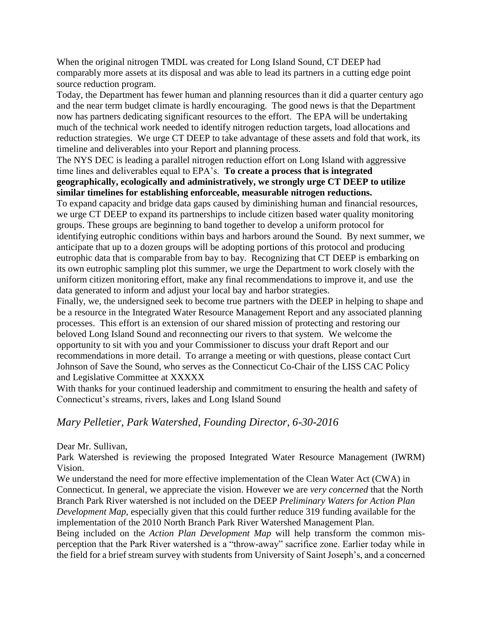When the original nitrogen TMDL was created for Long Island Sound, CT DEEP had comparably more assets at its disposal and was able to lead its partners in a cutting edge point source reduction program.

Today, the Department has fewer human and planning resources than it did a quarter century ago and the near term budget climate is hardly encouraging. The good news is that the Department now has partners dedicating significant resources to the effort. The EPA will be undertaking much of the technical work needed to identify nitrogen reduction targets, load allocations and reduction strategies. We urge CT DEEP to take advantage of these assets and fold that work, its timeline and deliverables into your Report and planning process.

The NYS DEC is leading a parallel nitrogen reduction effort on Long Island with aggressive time lines and deliverables equal to EPA's. **To create a process that is integrated geographically, ecologically and administratively, we strongly urge CT DEEP to utilize similar timelines for establishing enforceable, measurable nitrogen reductions.**

To expand capacity and bridge data gaps caused by diminishing human and financial resources, we urge CT DEEP to expand its partnerships to include citizen based water quality monitoring groups. These groups are beginning to band together to develop a uniform protocol for identifying eutrophic conditions within bays and harbors around the Sound. By next summer, we anticipate that up to a dozen groups will be adopting portions of this protocol and producing eutrophic data that is comparable from bay to bay. Recognizing that CT DEEP is embarking on its own eutrophic sampling plot this summer, we urge the Department to work closely with the uniform citizen monitoring effort, make any final recommendations to improve it, and use the data generated to inform and adjust your local bay and harbor strategies.

Finally, we, the undersigned seek to become true partners with the DEEP in helping to shape and be a resource in the Integrated Water Resource Management Report and any associated planning processes. This effort is an extension of our shared mission of protecting and restoring our beloved Long Island Sound and reconnecting our rivers to that system. We welcome the opportunity to sit with you and your Commissioner to discuss your draft Report and our recommendations in more detail. To arrange a meeting or with questions, please contact Curt Johnson of Save the Sound, who serves as the Connecticut Co-Chair of the LISS CAC Policy and Legislative Committee at XXXXX

With thanks for your continued leadership and commitment to ensuring the health and safety of Connecticut's streams, rivers, lakes and Long Island Sound

### *Mary Pelletier, Park Watershed, Founding Director, 6-30-2016*

### Dear Mr. Sullivan,

Park Watershed is reviewing the proposed Integrated Water Resource Management (IWRM) Vision.

We understand the need for more effective implementation of the Clean Water Act (CWA) in Connecticut. In general, we appreciate the vision. However we are *very concerned* that the North Branch Park River watershed is not included on the DEEP *Preliminary Waters for Action Plan Development Map*, especially given that this could further reduce 319 funding available for the implementation of the 2010 North Branch Park River Watershed Management Plan.

Being included on the *Action Plan Development Map* will help transform the common misperception that the Park River watershed is a "throw-away" sacrifice zone. Earlier today while in the field for a brief stream survey with students from University of Saint Joseph's, and a concerned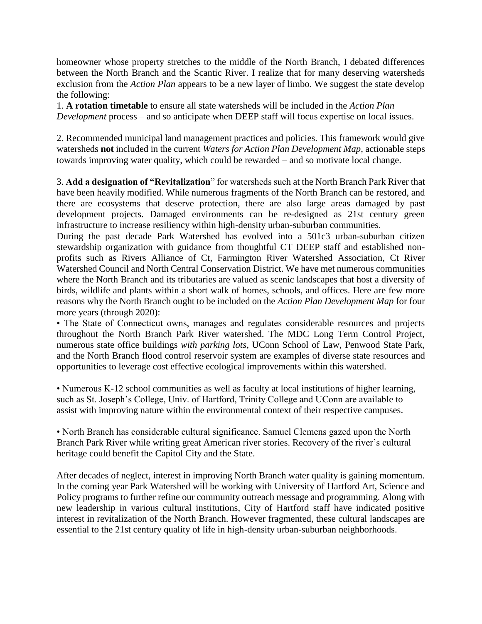homeowner whose property stretches to the middle of the North Branch, I debated differences between the North Branch and the Scantic River. I realize that for many deserving watersheds exclusion from the *Action Plan* appears to be a new layer of limbo. We suggest the state develop the following:

1. **A rotation timetable** to ensure all state watersheds will be included in the *Action Plan Development* process *–* and so anticipate when DEEP staff will focus expertise on local issues.

2. Recommended municipal land management practices and policies. This framework would give watersheds **not** included in the current *Waters for Action Plan Development Map*, actionable steps towards improving water quality, which could be rewarded – and so motivate local change.

3. **Add a designation of "Revitalization**" for watersheds such at the North Branch Park River that have been heavily modified. While numerous fragments of the North Branch can be restored, and there are ecosystems that deserve protection, there are also large areas damaged by past development projects. Damaged environments can be re-designed as 21st century green infrastructure to increase resiliency within high-density urban-suburban communities.

During the past decade Park Watershed has evolved into a 501c3 urban-suburban citizen stewardship organization with guidance from thoughtful CT DEEP staff and established nonprofits such as Rivers Alliance of Ct, Farmington River Watershed Association, Ct River Watershed Council and North Central Conservation District. We have met numerous communities where the North Branch and its tributaries are valued as scenic landscapes that host a diversity of birds, wildlife and plants within a short walk of homes, schools, and offices. Here are few more reasons why the North Branch ought to be included on the *Action Plan Development Map* for four more years (through 2020):

• The State of Connecticut owns, manages and regulates considerable resources and projects throughout the North Branch Park River watershed. The MDC Long Term Control Project, numerous state office buildings *with parking lots*, UConn School of Law, Penwood State Park, and the North Branch flood control reservoir system are examples of diverse state resources and opportunities to leverage cost effective ecological improvements within this watershed.

• Numerous K-12 school communities as well as faculty at local institutions of higher learning, such as St. Joseph's College, Univ. of Hartford, Trinity College and UConn are available to assist with improving nature within the environmental context of their respective campuses.

• North Branch has considerable cultural significance. Samuel Clemens gazed upon the North Branch Park River while writing great American river stories. Recovery of the river's cultural heritage could benefit the Capitol City and the State.

After decades of neglect, interest in improving North Branch water quality is gaining momentum. In the coming year Park Watershed will be working with University of Hartford Art, Science and Policy programs to further refine our community outreach message and programming. Along with new leadership in various cultural institutions, City of Hartford staff have indicated positive interest in revitalization of the North Branch. However fragmented, these cultural landscapes are essential to the 21st century quality of life in high-density urban-suburban neighborhoods.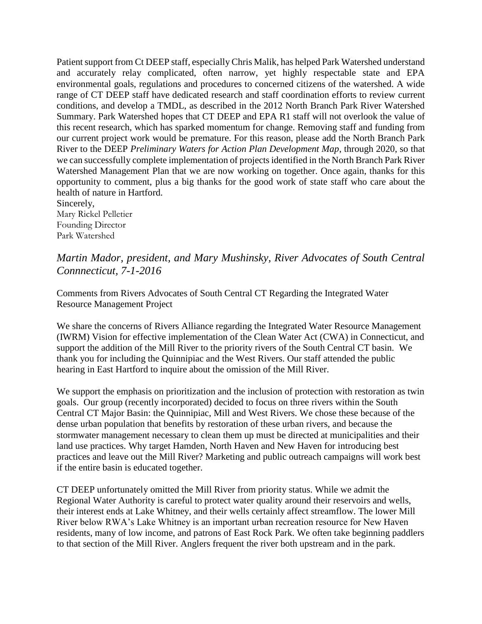Patient support from Ct DEEP staff, especially Chris Malik, has helped Park Watershed understand and accurately relay complicated, often narrow, yet highly respectable state and EPA environmental goals, regulations and procedures to concerned citizens of the watershed. A wide range of CT DEEP staff have dedicated research and staff coordination efforts to review current conditions, and develop a TMDL, as described in the 2012 North Branch Park River Watershed Summary. Park Watershed hopes that CT DEEP and EPA R1 staff will not overlook the value of this recent research, which has sparked momentum for change. Removing staff and funding from our current project work would be premature. For this reason, please add the North Branch Park River to the DEEP *Preliminary Waters for Action Plan Development Map*, through 2020, so that we can successfully complete implementation of projects identified in the North Branch Park River Watershed Management Plan that we are now working on together. Once again, thanks for this opportunity to comment, plus a big thanks for the good work of state staff who care about the health of nature in Hartford.

Sincerely, Mary Rickel Pelletier Founding Director Park Watershed

### *Martin Mador, president, and Mary Mushinsky, River Advocates of South Central Connnecticut, 7-1-2016*

Comments from Rivers Advocates of South Central CT Regarding the Integrated Water Resource Management Project

We share the concerns of Rivers Alliance regarding the Integrated Water Resource Management (IWRM) Vision for effective implementation of the Clean Water Act (CWA) in Connecticut, and support the addition of the Mill River to the priority rivers of the South Central CT basin. We thank you for including the Quinnipiac and the West Rivers. Our staff attended the public hearing in East Hartford to inquire about the omission of the Mill River.

We support the emphasis on prioritization and the inclusion of protection with restoration as twin goals. Our group (recently incorporated) decided to focus on three rivers within the South Central CT Major Basin: the Quinnipiac, Mill and West Rivers. We chose these because of the dense urban population that benefits by restoration of these urban rivers, and because the stormwater management necessary to clean them up must be directed at municipalities and their land use practices. Why target Hamden, North Haven and New Haven for introducing best practices and leave out the Mill River? Marketing and public outreach campaigns will work best if the entire basin is educated together.

CT DEEP unfortunately omitted the Mill River from priority status. While we admit the Regional Water Authority is careful to protect water quality around their reservoirs and wells, their interest ends at Lake Whitney, and their wells certainly affect streamflow. The lower Mill River below RWA's Lake Whitney is an important urban recreation resource for New Haven residents, many of low income, and patrons of East Rock Park. We often take beginning paddlers to that section of the Mill River. Anglers frequent the river both upstream and in the park.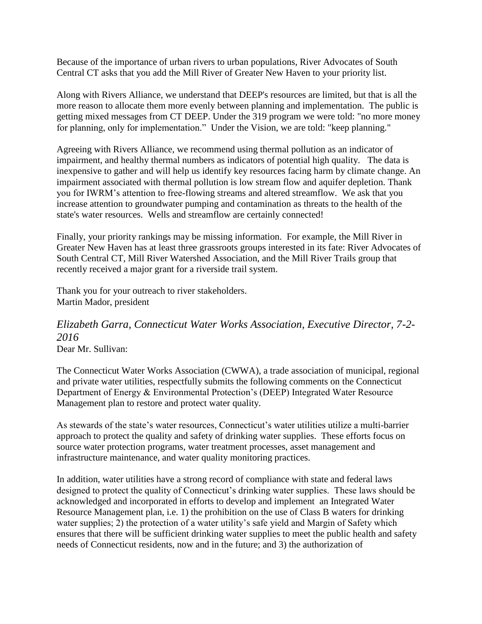Because of the importance of urban rivers to urban populations, River Advocates of South Central CT asks that you add the Mill River of Greater New Haven to your priority list.

Along with Rivers Alliance, we understand that DEEP's resources are limited, but that is all the more reason to allocate them more evenly between planning and implementation. The public is getting mixed messages from CT DEEP. Under the 319 program we were told: "no more money for planning, only for implementation." Under the Vision, we are told: "keep planning."

Agreeing with Rivers Alliance, we recommend using thermal pollution as an indicator of impairment, and healthy thermal numbers as indicators of potential high quality. The data is inexpensive to gather and will help us identify key resources facing harm by climate change. An impairment associated with thermal pollution is low stream flow and aquifer depletion. Thank you for IWRM's attention to free-flowing streams and altered streamflow. We ask that you increase attention to groundwater pumping and contamination as threats to the health of the state's water resources. Wells and streamflow are certainly connected!

Finally, your priority rankings may be missing information. For example, the Mill River in Greater New Haven has at least three grassroots groups interested in its fate: River Advocates of South Central CT, Mill River Watershed Association, and the Mill River Trails group that recently received a major grant for a riverside trail system.

Thank you for your outreach to river stakeholders. Martin Mador, president

# *Elizabeth Garra, Connecticut Water Works Association, Executive Director, 7-2- 2016*

Dear Mr. Sullivan:

The Connecticut Water Works Association (CWWA), a trade association of municipal, regional and private water utilities, respectfully submits the following comments on the Connecticut Department of Energy & Environmental Protection's (DEEP) Integrated Water Resource Management plan to restore and protect water quality.

As stewards of the state's water resources, Connecticut's water utilities utilize a multi-barrier approach to protect the quality and safety of drinking water supplies. These efforts focus on source water protection programs, water treatment processes, asset management and infrastructure maintenance, and water quality monitoring practices.

In addition, water utilities have a strong record of compliance with state and federal laws designed to protect the quality of Connecticut's drinking water supplies. These laws should be acknowledged and incorporated in efforts to develop and implement an Integrated Water Resource Management plan, i.e. 1) the prohibition on the use of Class B waters for drinking water supplies; 2) the protection of a water utility's safe yield and Margin of Safety which ensures that there will be sufficient drinking water supplies to meet the public health and safety needs of Connecticut residents, now and in the future; and 3) the authorization of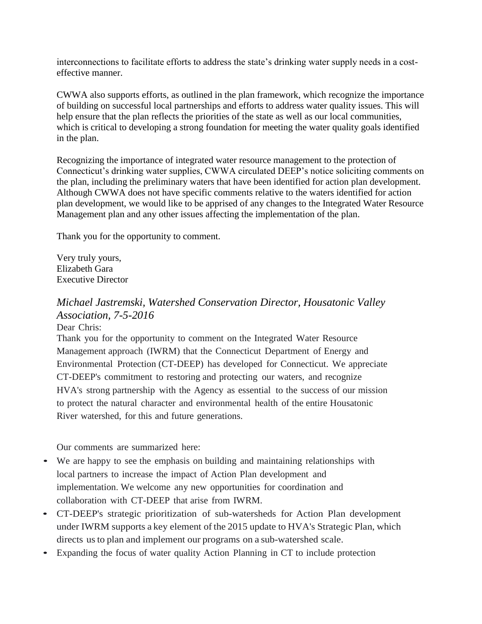interconnections to facilitate efforts to address the state's drinking water supply needs in a costeffective manner.

CWWA also supports efforts, as outlined in the plan framework, which recognize the importance of building on successful local partnerships and efforts to address water quality issues. This will help ensure that the plan reflects the priorities of the state as well as our local communities, which is critical to developing a strong foundation for meeting the water quality goals identified in the plan.

Recognizing the importance of integrated water resource management to the protection of Connecticut's drinking water supplies, CWWA circulated DEEP's notice soliciting comments on the plan, including the preliminary waters that have been identified for action plan development. Although CWWA does not have specific comments relative to the waters identified for action plan development, we would like to be apprised of any changes to the Integrated Water Resource Management plan and any other issues affecting the implementation of the plan.

Thank you for the opportunity to comment.

Very truly yours, Elizabeth Gara Executive Director

### *Michael Jastremski, Watershed Conservation Director, Housatonic Valley Association, 7-5-2016*

Dear Chris:

Thank you for the opportunity to comment on the Integrated Water Resource Management approach (IWRM) that the Connecticut Department of Energy and Environmental Protection (CT-DEEP) has developed for Connecticut. We appreciate CT-DEEP's commitment to restoring and protecting our waters, and recognize HVA's strong partnership with the Agency as essential to the success of our mission to protect the natural character and environmental health of the entire Housatonic River watershed, for this and future generations.

Our comments are summarized here:

- We are happy to see the emphasis on building and maintaining relationships with local partners to increase the impact of Action Plan development and implementation. We welcome any new opportunities for coordination and collaboration with CT-DEEP that arise from IWRM.
- CT-DEEP's strategic prioritization of sub-watersheds for Action Plan development under IWRM supports a key element of the 2015 update to HVA's Strategic Plan, which directs us to plan and implement our programs on a sub-watershed scale.
- Expanding the focus of water quality Action Planning in CT to include protection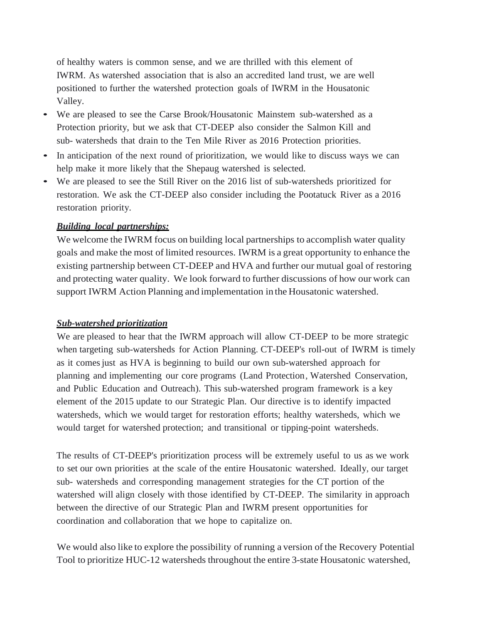of healthy waters is common sense, and we are thrilled with this element of IWRM. As watershed association that is also an accredited land trust, we are well positioned to further the watershed protection goals of IWRM in the Housatonic Valley.

- We are pleased to see the Carse Brook/Housatonic Mainstem sub-watershed as <sup>a</sup> Protection priority, but we ask that CT-DEEP also consider the Salmon Kill and sub- watersheds that drain to the Ten Mile River as 2016 Protection priorities.
- In anticipation of the next round of prioritization, we would like to discuss ways we can help make it more likely that the Shepaug watershed is selected.
- We are pleased to see the Still River on the <sup>2016</sup> list of sub-watersheds prioritized for restoration. We ask the CT-DEEP also consider including the Pootatuck River as a 2016 restoration priority.

#### *Building local partnerships:*

We welcome the IWRM focus on building local partnerships to accomplish water quality goals and make the most of limited resources. IWRM is a great opportunity to enhance the existing partnership between CT-DEEP and HVA and further our mutual goal of restoring and protecting water quality. We look forward to further discussions of how our work can support IWRM Action Planning and implementation in the Housatonic watershed.

#### *Sub-watershed prioritization*

We are pleased to hear that the IWRM approach will allow CT-DEEP to be more strategic when targeting sub-watersheds for Action Planning. CT-DEEP's roll-out of IWRM is timely as it comesjust as HVA is beginning to build our own sub-watershed approach for planning and implementing our core programs (Land Protection, Watershed Conservation, and Public Education and Outreach). This sub-watershed program framework is a key element of the 2015 update to our Strategic Plan. Our directive is to identify impacted watersheds, which we would target for restoration efforts; healthy watersheds, which we would target for watershed protection; and transitional or tipping-point watersheds.

The results of CT-DEEP's prioritization process will be extremely useful to us as we work to set our own priorities at the scale of the entire Housatonic watershed. Ideally, our target sub- watersheds and corresponding management strategies for the CT portion of the watershed will align closely with those identified by CT-DEEP. The similarity in approach between the directive of our Strategic Plan and IWRM present opportunities for coordination and collaboration that we hope to capitalize on.

We would also like to explore the possibility of running a version of the Recovery Potential Tool to prioritize HUC-12 watersheds throughout the entire 3-state Housatonic watershed,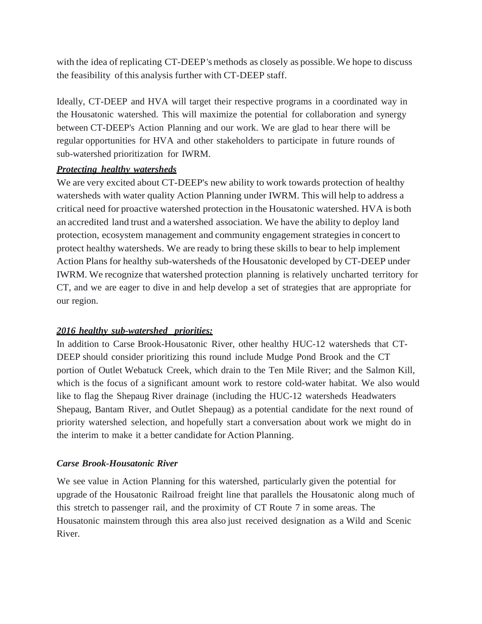with the idea of replicating CT-DEEP's methods as closely as possible. We hope to discuss the feasibility of this analysis further with CT-DEEP staff.

Ideally, CT-DEEP and HVA will target their respective programs in a coordinated way in the Housatonic watershed. This will maximize the potential for collaboration and synergy between CT-DEEP's Action Planning and our work. We are glad to hear there will be regular opportunities for HVA and other stakeholders to participate in future rounds of sub-watershed prioritization for IWRM.

### *Protecting healthy watersheds*

We are very excited about CT-DEEP's new ability to work towards protection of healthy watersheds with water quality Action Planning under IWRM. This will help to address a critical need for proactive watershed protection in the Housatonic watershed. HVA is both an accredited land trust and a watershed association. We have the ability to deploy land protection, ecosystem management and community engagement strategies in concert to protect healthy watersheds. We are ready to bring these skills to bear to help implement Action Plans for healthy sub-watersheds of the Housatonic developed by CT-DEEP under IWRM. We recognize that watershed protection planning is relatively uncharted territory for CT, and we are eager to dive in and help develop a set of strategies that are appropriate for our region.

### *2016 healthy sub-watershed priorities:*

In addition to Carse Brook-Housatonic River, other healthy HUC-12 watersheds that CT-DEEP should consider prioritizing this round include Mudge Pond Brook and the CT portion of Outlet Webatuck Creek, which drain to the Ten Mile River; and the Salmon Kill, which is the focus of a significant amount work to restore cold-water habitat. We also would like to flag the Shepaug River drainage (including the HUC-12 watersheds Headwaters Shepaug, Bantam River, and Outlet Shepaug) as a potential candidate for the next round of priority watershed selection, and hopefully start a conversation about work we might do in the interim to make it a better candidate for Action Planning.

### *Carse Brook-Housatonic River*

We see value in Action Planning for this watershed, particularly given the potential for upgrade of the Housatonic Railroad freight line that parallels the Housatonic along much of this stretch to passenger rail, and the proximity of CT Route 7 in some areas. The Housatonic mainstem through this area also just received designation as a Wild and Scenic River.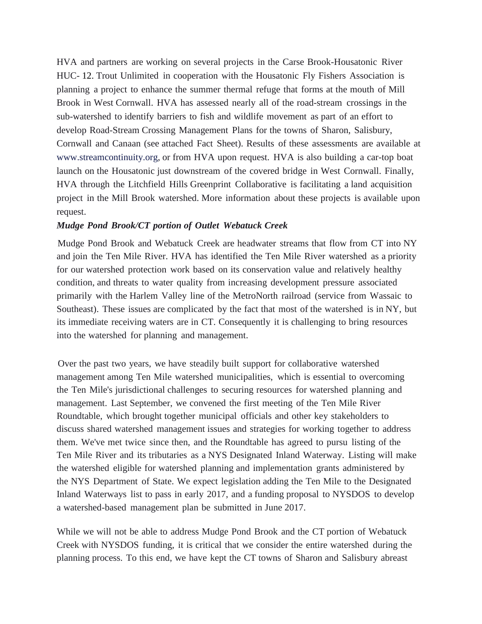HVA and partners are working on several projects in the Carse Brook-Housatonic River HUC- 12. Trout Unlimited in cooperation with the Housatonic Fly Fishers Association is planning a project to enhance the summer thermal refuge that forms at the mouth of Mill Brook in West Cornwall. HVA has assessed nearly all of the road-stream crossings in the sub-watershed to identify barriers to fish and wildlife movement as part of an effort to develop Road-Stream Crossing Management Plans for the towns of Sharon, Salisbury, Cornwall and Canaan (see attached Fact Sheet). Results of these assessments are available at [www.streamcontinuity.org,](http://www.streamcontinuity.org/) or from HVA upon request. HVA is also building a car-top boat launch on the Housatonic just downstream of the covered bridge in West Cornwall. Finally, HVA through the Litchfield Hills Greenprint Collaborative is facilitating a land acquisition project in the Mill Brook watershed. More information about these projects is available upon request.

#### *Mudge Pond Brook/CT portion of Outlet Webatuck Creek*

Mudge Pond Brook and Webatuck Creek are headwater streams that flow from CT into NY and join the Ten Mile River. HVA has identified the Ten Mile River watershed as a priority for our watershed protection work based on its conservation value and relatively healthy condition, and threats to water quality from increasing development pressure associated primarily with the Harlem Valley line of the MetroNorth railroad (service from Wassaic to Southeast). These issues are complicated by the fact that most of the watershed is in NY, but its immediate receiving waters are in CT. Consequently it is challenging to bring resources into the watershed for planning and management.

Over the past two years, we have steadily built support for collaborative watershed management among Ten Mile watershed municipalities, which is essential to overcoming the Ten Mile's jurisdictional challenges to securing resources for watershed planning and management. Last September, we convened the first meeting of the Ten Mile River Roundtable, which brought together municipal officials and other key stakeholders to discuss shared watershed management issues and strategies for working together to address them. We've met twice since then, and the Roundtable has agreed to pursu listing of the Ten Mile River and its tributaries as a NYS Designated Inland Waterway. Listing will make the watershed eligible for watershed planning and implementation grants administered by the NYS Department of State. We expect legislation adding the Ten Mile to the Designated Inland Waterways list to pass in early 2017, and a funding proposal to NYSDOS to develop a watershed-based management plan be submitted in June 2017.

While we will not be able to address Mudge Pond Brook and the CT portion of Webatuck Creek with NYSDOS funding, it is critical that we consider the entire watershed during the planning process. To this end, we have kept the CT towns of Sharon and Salisbury abreast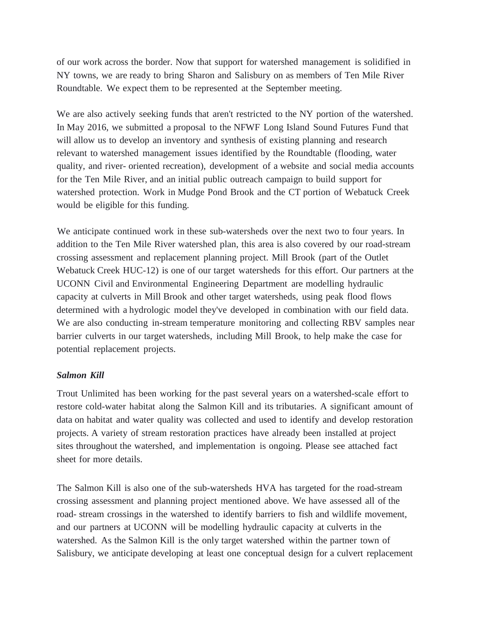of our work across the border. Now that support for watershed management is solidified in NY towns, we are ready to bring Sharon and Salisbury on as members of Ten Mile River Roundtable. We expect them to be represented at the September meeting.

We are also actively seeking funds that aren't restricted to the NY portion of the watershed. In May 2016, we submitted a proposal to the NFWF Long Island Sound Futures Fund that will allow us to develop an inventory and synthesis of existing planning and research relevant to watershed management issues identified by the Roundtable (flooding, water quality, and river- oriented recreation), development of a website and social media accounts for the Ten Mile River, and an initial public outreach campaign to build support for watershed protection. Work in Mudge Pond Brook and the CT portion of Webatuck Creek would be eligible for this funding.

We anticipate continued work in these sub-watersheds over the next two to four years. In addition to the Ten Mile River watershed plan, this area is also covered by our road-stream crossing assessment and replacement planning project. Mill Brook (part of the Outlet Webatuck Creek HUC-12) is one of our target watersheds for this effort. Our partners at the UCONN Civil and Environmental Engineering Department are modelling hydraulic capacity at culverts in Mill Brook and other target watersheds, using peak flood flows determined with a hydrologic model they've developed in combination with our field data. We are also conducting in-stream temperature monitoring and collecting RBV samples near barrier culverts in our target watersheds, including Mill Brook, to help make the case for potential replacement projects.

#### *Salmon Kill*

Trout Unlimited has been working for the past several years on a watershed-scale effort to restore cold-water habitat along the Salmon Kill and its tributaries. A significant amount of data on habitat and water quality was collected and used to identify and develop restoration projects. A variety of stream restoration practices have already been installed at project sites throughout the watershed, and implementation is ongoing. Please see attached fact sheet for more details.

The Salmon Kill is also one of the sub-watersheds HVA has targeted for the road-stream crossing assessment and planning project mentioned above. We have assessed all of the road- stream crossings in the watershed to identify barriers to fish and wildlife movement, and our partners at UCONN will be modelling hydraulic capacity at culverts in the watershed. As the Salmon Kill is the only target watershed within the partner town of Salisbury, we anticipate developing at least one conceptual design for a culvert replacement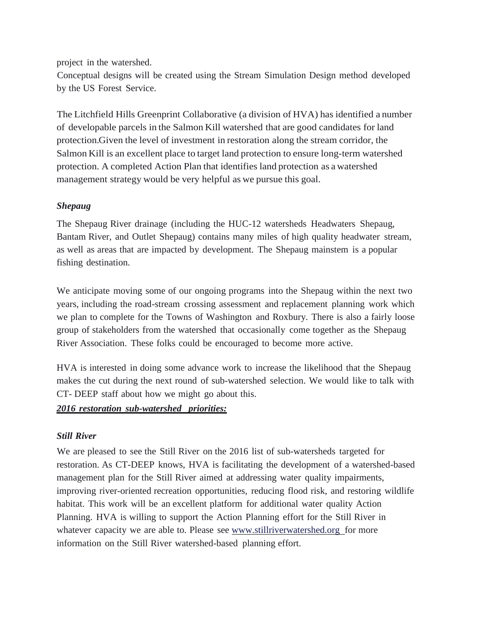project in the watershed.

Conceptual designs will be created using the Stream Simulation Design method developed by the US Forest Service.

The Litchfield Hills Greenprint Collaborative (a division of HVA) has identified a number of developable parcels in the Salmon Kill watershed that are good candidates for land protection. Given the level of investment in restoration along the stream corridor, the Salmon Kill is an excellent place to target land protection to ensure long-term watershed protection. A completed Action Plan that identifies land protection as a watershed management strategy would be very helpful as we pursue this goal.

### *Shepaug*

The Shepaug River drainage (including the HUC-12 watersheds Headwaters Shepaug, Bantam River, and Outlet Shepaug) contains many miles of high quality headwater stream, as well as areas that are impacted by development. The Shepaug mainstem is a popular fishing destination.

We anticipate moving some of our ongoing programs into the Shepaug within the next two years, including the road-stream crossing assessment and replacement planning work which we plan to complete for the Towns of Washington and Roxbury. There is also a fairly loose group of stakeholders from the watershed that occasionally come together as the Shepaug River Association. These folks could be encouraged to become more active.

HVA is interested in doing some advance work to increase the likelihood that the Shepaug makes the cut during the next round of sub-watershed selection. We would like to talk with CT- DEEP staff about how we might go about this.

### *2016 restoration sub-watershed priorities:*

### *Still River*

We are pleased to see the Still River on the 2016 list of sub-watersheds targeted for restoration. As CT-DEEP knows, HVA is facilitating the development of a watershed-based management plan for the Still River aimed at addressing water quality impairments, improving river-oriented recreation opportunities, reducing flood risk, and restoring wildlife habitat. This work will be an excellent platform for additional water quality Action Planning. HVA is willing to support the Action Planning effort for the Still River in whatever capacity we are able to. Please see www.stillriverwatershed.org for more information on the Still River watershed-based planning effort.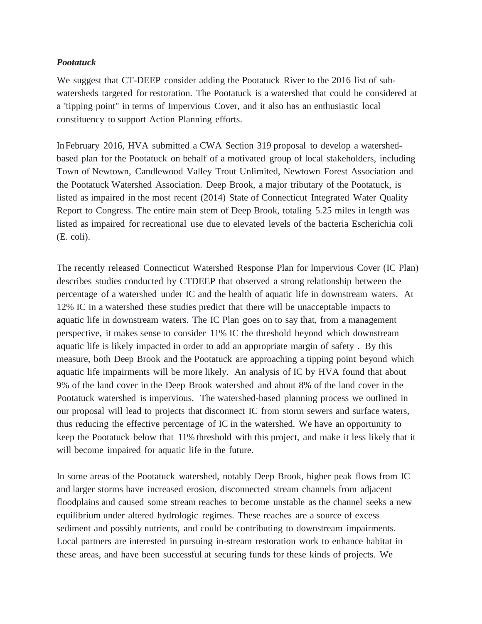### *Pootatuck*

We suggest that CT-DEEP consider adding the Pootatuck River to the 2016 list of subwatersheds targeted for restoration. The Pootatuck is a watershed that could be considered at a "tipping point" in terms of Impervious Cover, and it also has an enthusiastic local constituency to support Action Planning efforts.

InFebruary 2016, HVA submitted a CWA Section 319 proposal to develop a watershedbased plan for the Pootatuck on behalf of a motivated group of local stakeholders, including Town of Newtown, Candlewood Valley Trout Unlimited, Newtown Forest Association and the Pootatuck Watershed Association. Deep Brook, a major tributary of the Pootatuck, is listed as impaired in the most recent (2014) State of Connecticut Integrated Water Quality Report to Congress. The entire main stem of Deep Brook, totaling 5.25 miles in length was listed as impaired for recreational use due to elevated levels of the bacteria Escherichia coli (E. coli).

The recently released Connecticut Watershed Response Plan for Impervious Cover (IC Plan) describes studies conducted by CTDEEP that observed a strong relationship between the percentage of a watershed under IC and the health of aquatic life in downstream waters. At 12% IC in a watershed these studies predict that there will be unacceptable impacts to aquatic life in downstream waters. The IC Plan goes on to say that, from a management perspective, it makes sense to consider 11% IC the threshold beyond which downstream aquatic life is likely impacted in order to add an appropriate margin of safety . By this measure, both Deep Brook and the Pootatuck are approaching a tipping point beyond which aquatic life impairments will be more likely. An analysis of IC by HVA found that about 9% of the land cover in the Deep Brook watershed and about 8% of the land cover in the Pootatuck watershed is impervious. The watershed-based planning process we outlined in our proposal will lead to projects that disconnect IC from storm sewers and surface waters, thus reducing the effective percentage of IC in the watershed. We have an opportunity to keep the Pootatuck below that 11% threshold with this project, and make it less likely that it will become impaired for aquatic life in the future.

In some areas of the Pootatuck watershed, notably Deep Brook, higher peak flows from IC and larger storms have increased erosion, disconnected stream channels from adjacent floodplains and caused some stream reaches to become unstable as the channel seeks a new equilibrium under altered hydrologic regimes. These reaches are a source of excess sediment and possibly nutrients, and could be contributing to downstream impairments. Local partners are interested in pursuing in-stream restoration work to enhance habitat in these areas, and have been successful at securing funds for these kinds of projects. We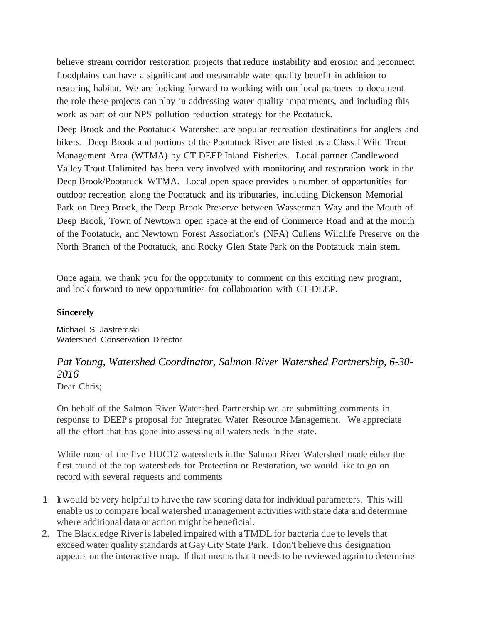believe stream corridor restoration projects that reduce instability and erosion and reconnect floodplains can have a significant and measurable water quality benefit in addition to restoring habitat. We are looking forward to working with our local partners to document the role these projects can play in addressing water quality impairments, and including this work as part of our NPS pollution reduction strategy for the Pootatuck.

Deep Brook and the Pootatuck Watershed are popular recreation destinations for anglers and hikers. Deep Brook and portions of the Pootatuck River are listed as a Class I Wild Trout Management Area (WTMA) by CT DEEP Inland Fisheries. Local partner Candlewood Valley Trout Unlimited has been very involved with monitoring and restoration work in the Deep Brook/Pootatuck WTMA. Local open space provides a number of opportunities for outdoor recreation along the Pootatuck and its tributaries, including Dickenson Memorial Park on Deep Brook, the Deep Brook Preserve between Wasserman Way and the Mouth of Deep Brook, Town of Newtown open space at the end of Commerce Road and at the mouth of the Pootatuck, and Newtown Forest Association's (NFA) Cullens Wildlife Preserve on the North Branch of the Pootatuck, and Rocky Glen State Park on the Pootatuck main stem.

Once again, we thank you for the opportunity to comment on this exciting new program, and look forward to new opportunities for collaboration with CT-DEEP.

#### **Sincerely**

Michael S. Jastremski Watershed Conservation Director

## *Pat Young, Watershed Coordinator, Salmon River Watershed Partnership, 6-30- 2016*

Dear Chris;

On behalf of the Salmon River Watershed Partnership we are submitting comments in response to DEEP's proposal for Integrated Water Resource Management. We appreciate all the effort that has gone into assessing all watersheds in the state.

While none of the five HUC12 watersheds inthe Salmon River Watershed made either the first round of the top watersheds for Protection or Restoration, we would like to go on record with several requests and comments

- 1. It would be very helpful to have the raw scoring data for individual parameters. This will enable usto compare local watershed management activities with state data and determine where additional data or action might be beneficial.
- 2. The Blackledge River is labeled impaired with aTMDL for bacteria due to levels that exceed water quality standards at Gay City State Park. Idon't believe this designation appears on the interactive map. If that meansthat it needsto be reviewed again to determine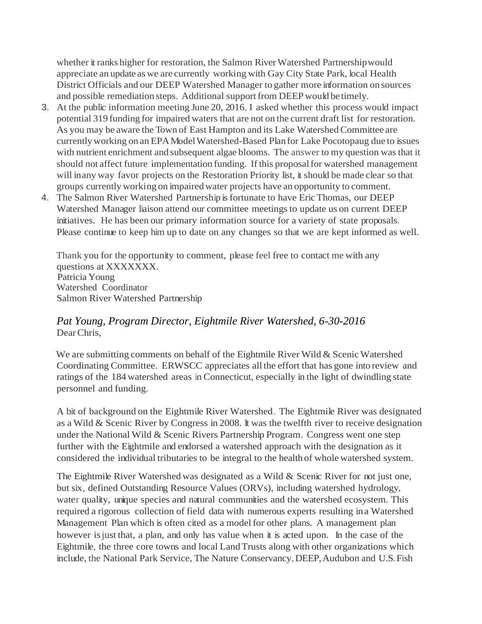whether it ranks higher for restoration, the Salmon River Watershed Partnershipwould appreciate an update aswe are currently working with Gay City State Park, local Health District Officials and our DEEP Watershed Manager to gather more information on sources and possible remediation steps. Additional support from DEEP would be timely.

- 3. At the public information meeting June 20, 2016, I asked whether this process would impact potential 319 funding for impaired waters that are not on the current draft list for restoration. As you may be aware the Town of East Hampton and its Lake Watershed Committee are currentlyworking on an EPAModelWatershed-Based Planfor Lake Pocotopaug due to issues with nutrient enrichment and subsequent algae blooms. The answer to my question wasthat it should not affect future implementation funding. Ifthis proposalfor watershed management will inany way favor projects on the Restoration Priority list, it should be made clear so that groups currently working on impairedwater projects have an opportunity to comment.
- 4. The Salmon River Watershed Partnership is fortunate to have Eric Thomas, our DEEP Watershed Manager liaison attend our committee meetings to update us on current DEEP initiatives. He has been our primary information source for a variety of state proposals. Please continue to keep him up to date on any changes so that we are kept informed as well.

Thank you for the opportunity to comment, please feel free to contact me with any questions at XXXXXXX. Patricia Young Watershed Coordinator Salmon River Watershed Partnership

### *Pat Young, Program Director, Eightmile River Watershed, 6-30-2016* DearChris,

We are submitting comments on behalf of the Eightmile River Wild & Scenic Watershed Coordinating Committee. ERWSCC appreciates all the effort that has gone into review and ratings of the 184 watershed areas in Connecticut, especially in the light of dwindling state personnel and funding.

A bit of background on the Eightmile River Watershed. The Eightmile River was designated as a Wild & Scenic River by Congress in 2008. It was the twelfth river to receive designation under the National Wild & Scenic Rivers Partnership Program. Congress went one step further with the Eightmile and endorsed a watershed approach with the designation as it considered the individual tributaries to be integral to the health of whole watershed system.

The Eightmile River Watershed was designated as a Wild & Scenic River for not just one, but six, defined Outstanding Resource Values (ORVs), including watershed hydrology, water quality, unique species and natural communities and the watershed ecosystem. This required a rigorous collection of field data with numerous experts resulting ina Watershed Management Plan which is often cited as a model for other plans. A management plan however isjust that, a plan, and only has value when it is acted upon. In the case of the Eightmile, the three core towns and local LandTrusts along with other organizations which include, the National Park Service, The Nature Conservancy, DEEP, Audubon and U.S. Fish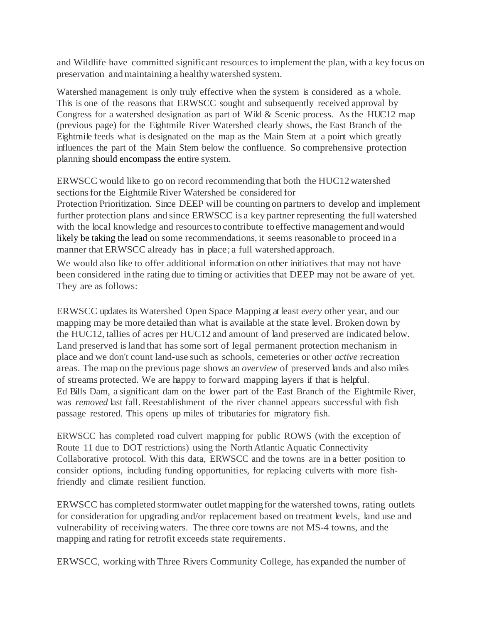and Wildlife have committed significant resources to implement the plan, with a key focus on preservation and maintaining a healthy watershed system.

Watershed management is only truly effective when the system is considered as a whole. This is one of the reasons that ERWSCC sought and subsequently received approval by Congress for a watershed designation as part of Wild & Scenic process. As the HUC12 map (previous page) for the Eightmile River Watershed clearly shows, the East Branch of the Eightmile feeds what is designated on the map as the Main Stem at a point which greatly influences the part of the Main Stem below the confluence. So comprehensive protection planning should encompass the entire system.

ERWSCC would like to go on record recommending that both the HUC12watershed sections for the Eightmile River Watershed be considered for

Protection Prioritization. Since DEEP will be counting on partners to develop and implement further protection plans and since ERWSCC is a key partner representing the fullwatershed with the local knowledge and resourcesto contribute to effective management andwould likely be taking the lead on some recommendations, it seems reasonable to proceed in a manner that ERWSCC already has in place; a full watershed approach.

We would also like to offer additional information on other initiatives that may not have been considered inthe rating due to timing or activities that DEEP may not be aware of yet. They are as follows:

ERWSCC updates its Watershed Open Space Mapping at least *every* other year, and our mapping may be more detailed than what is available at the state level. Broken down by the HUC12, tallies of acres per HUC12 and amount of land preserved are indicated below. Land preserved island that has some sort of legal permanent protection mechanism in place and we don't count land-use such as schools, cemeteries or other *active* recreation areas. The map on the previous page shows an *overview* of preserved lands and also miles of streams protected. We are happy to forward mapping layers if that is helpful. Ed Bills Dam, a significant dam on the lower part of the East Branch of the Eightmile River, was *removed* last fall. Reestablishment of the river channel appears successful with fish passage restored. This opens up miles of tributaries for migratory fish.

ERWSCC has completed road culvert mapping for public ROWS (with the exception of Route 11 due to DOT restrictions) using the North Atlantic Aquatic Connectivity Collaborative protocol. With this data, ERWSCC and the towns are in a better position to consider options, including funding opportunities, for replacing culverts with more fishfriendly and climate resilient function.

ERWSCC has completed stormwater outlet mappingfor thewatershed towns, rating outlets for consideration for upgrading and/or replacement based on treatment levels, land use and vulnerability of receivingwaters. The three core towns are not MS-4 towns, and the mapping and rating for retrofit exceeds state requirements.

ERWSCC, working with Three Rivers Community College, has expanded the number of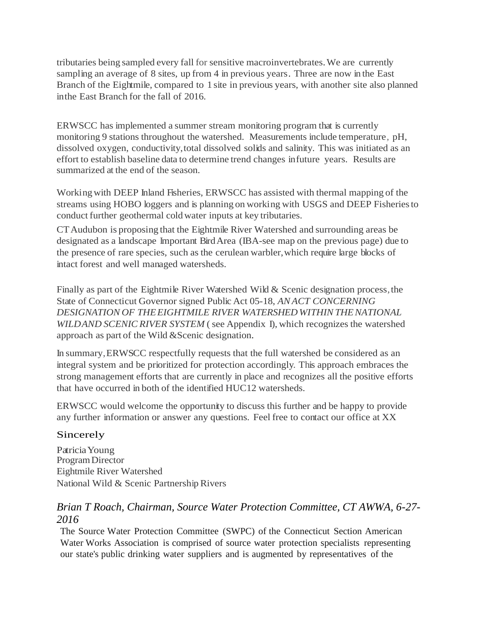tributaries being sampled every fall for sensitive macroinvertebrates.We are currently sampling an average of 8 sites, up from 4 in previous years. Three are now in the East Branch of the Eightmile, compared to 1 site in previous years, with another site also planned inthe East Branch for the fall of 2016.

ERWSCC has implemented a summer stream monitoring program that is currently monitoring 9 stations throughout the watershed. Measurements include temperature, pH, dissolved oxygen, conductivity,total dissolved solids and salinity. This was initiated as an effort to establish baseline data to determine trend changes infuture years. Results are summarized at the end of the season.

Workingwith DEEP Inland Fisheries, ERWSCC has assisted with thermal mapping of the streams using HOBO loggers and is planning on working with USGS and DEEP Fisheriesto conduct further geothermal coldwater inputs at key tributaries.

CTAudubon is proposing that the Eightmile River Watershed and surrounding areas be designated as a landscape Important BirdArea (IBA-see map on the previous page) due to the presence of rare species, such as the cerulean warbler,which require large blocks of intact forest and well managed watersheds.

Finally as part of the Eightmile River Watershed Wild & Scenic designation process, the State of Connecticut Governor signed Public Act 05-18, *ANACT CONCERNING DESIGNATION OF THEEIGHTMILE RIVER WATERSHED WITHINTHENATIONAL WILDAND SCENIC RIVER SYSTEM* (see Appendix I), which recognizes the watershed approach as part of the Wild &Scenic designation.

In summary,ERWSCC respectfully requests that the full watershed be considered as an integral system and be prioritized for protection accordingly. This approach embraces the strong management efforts that are currently in place and recognizes all the positive efforts that have occurred in both of the identified HUC12 watersheds.

ERWSCC would welcome the opportunity to discuss this further and be happy to provide any further information or answer any questions. Feel free to contact our office at XX

### Sincerely

PatriciaYoung ProgramDirector Eightmile River Watershed National Wild & Scenic Partnership Rivers

### *Brian T Roach, Chairman, Source Water Protection Committee, CT AWWA, 6-27- 2016*

The Source Water Protection Committee (SWPC) of the Connecticut Section American Water Works Association is comprised of source water protection specialists representing our state's public drinking water suppliers and is augmented by representatives of the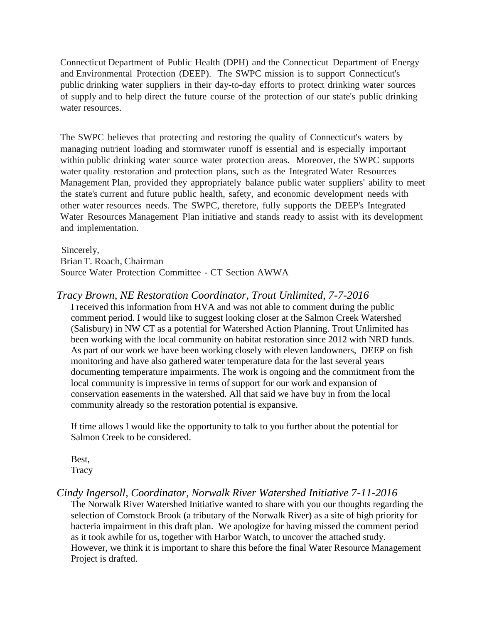Connecticut Department of Public Health (DPH) and the Connecticut Department of Energy and Environmental Protection (DEEP). The SWPC mission is to support Connecticut's public drinking water suppliers in their day-to-day efforts to protect drinking water sources of supply and to help direct the future course of the protection of our state's public drinking water resources.

The SWPC believes that protecting and restoring the quality of Connecticut's waters by managing nutrient loading and stormwater runoff is essential and is especially important within public drinking water source water protection areas. Moreover, the SWPC supports water quality restoration and protection plans, such as the Integrated Water Resources Management Plan, provided they appropriately balance public water suppliers' ability to meet the state's current and future public health, safety, and economic development needs with other water resources needs. The SWPC, therefore, fully supports the DEEP's Integrated Water Resources Management Plan initiative and stands ready to assist with its development and implementation.

Sincerely, BrianT. Roach, Chairman Source Water Protection Committee - CT Section AWWA

### *Tracy Brown, NE Restoration Coordinator, Trout Unlimited, 7-7-2016*

I received this information from HVA and was not able to comment during the public comment period. I would like to suggest looking closer at the Salmon Creek Watershed (Salisbury) in NW CT as a potential for Watershed Action Planning. Trout Unlimited has been working with the local community on habitat restoration since 2012 with NRD funds. As part of our work we have been working closely with eleven landowners, DEEP on fish monitoring and have also gathered water temperature data for the last several years documenting temperature impairments. The work is ongoing and the commitment from the local community is impressive in terms of support for our work and expansion of conservation easements in the watershed. All that said we have buy in from the local community already so the restoration potential is expansive.

If time allows I would like the opportunity to talk to you further about the potential for Salmon Creek to be considered.

Best, **Tracy** 

### *Cindy Ingersoll, Coordinator, Norwalk River Watershed Initiative 7-11-2016*

The Norwalk River Watershed Initiative wanted to share with you our thoughts regarding the selection of Comstock Brook (a tributary of the Norwalk River) as a site of high priority for bacteria impairment in this draft plan. We apologize for having missed the comment period as it took awhile for us, together with Harbor Watch, to uncover the attached study. However, we think it is important to share this before the final Water Resource Management Project is drafted.